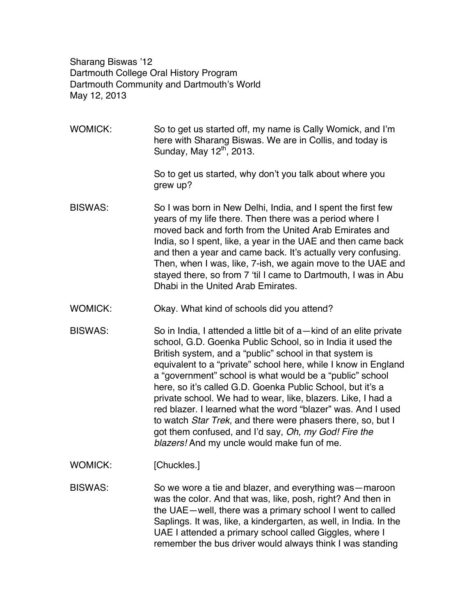Sharang Biswas '12 Dartmouth College Oral History Program Dartmouth Community and Dartmouth's World May 12, 2013

WOMICK: So to get us started off, my name is Cally Womick, and I'm here with Sharang Biswas. We are in Collis, and today is Sunday, May  $12<sup>th</sup>$ , 2013.

> So to get us started, why don't you talk about where you grew up?

- BISWAS: So I was born in New Delhi, India, and I spent the first few years of my life there. Then there was a period where I moved back and forth from the United Arab Emirates and India, so I spent, like, a year in the UAE and then came back and then a year and came back. It's actually very confusing. Then, when I was, like, 7-ish, we again move to the UAE and stayed there, so from 7 'til I came to Dartmouth, I was in Abu Dhabi in the United Arab Emirates.
- WOMICK: Okay. What kind of schools did you attend?
- BISWAS: So in India, I attended a little bit of a—kind of an elite private school, G.D. Goenka Public School, so in India it used the British system, and a "public" school in that system is equivalent to a "private" school here, while I know in England a "government" school is what would be a "public" school here, so it's called G.D. Goenka Public School, but it's a private school. We had to wear, like, blazers. Like, I had a red blazer. I learned what the word "blazer" was. And I used to watch *Star Trek*, and there were phasers there, so, but I got them confused, and I'd say, *Oh, my God! Fire the blazers!* And my uncle would make fun of me.
- WOMICK: [Chuckles.]

BISWAS: So we wore a tie and blazer, and everything was—maroon was the color. And that was, like, posh, right? And then in the UAE—well, there was a primary school I went to called Saplings. It was, like, a kindergarten, as well, in India. In the UAE I attended a primary school called Giggles, where I remember the bus driver would always think I was standing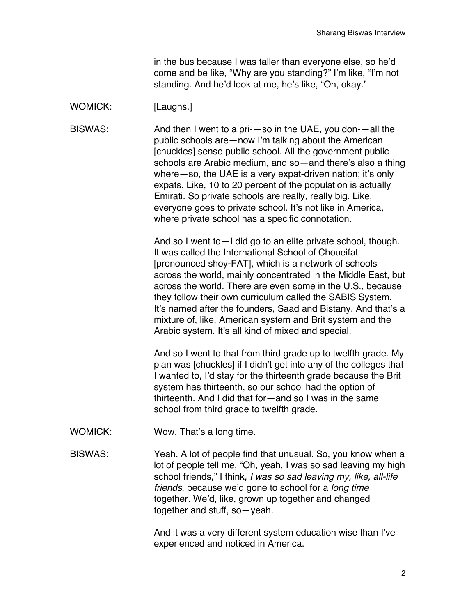in the bus because I was taller than everyone else, so he'd come and be like, "Why are you standing?" I'm like, "I'm not standing. And he'd look at me, he's like, "Oh, okay."

# WOMICK: [Laughs.]

BISWAS: And then I went to a pri-—so in the UAE, you don-—all the public schools are—now I'm talking about the American [chuckles] sense public school. All the government public schools are Arabic medium, and so—and there's also a thing where–so, the UAE is a very expat-driven nation; it's only expats. Like, 10 to 20 percent of the population is actually Emirati. So private schools are really, really big. Like, everyone goes to private school. It's not like in America, where private school has a specific connotation.

> And so I went to—I did go to an elite private school, though. It was called the International School of Choueifat [pronounced shoy-FAT], which is a network of schools across the world, mainly concentrated in the Middle East, but across the world. There are even some in the U.S., because they follow their own curriculum called the SABIS System. It's named after the founders, Saad and Bistany. And that's a mixture of, like, American system and Brit system and the Arabic system. It's all kind of mixed and special.

> And so I went to that from third grade up to twelfth grade. My plan was [chuckles] if I didn't get into any of the colleges that I wanted to, I'd stay for the thirteenth grade because the Brit system has thirteenth, so our school had the option of thirteenth. And I did that for—and so I was in the same school from third grade to twelfth grade.

WOMICK: Wow. That's a long time.

BISWAS: Yeah. A lot of people find that unusual. So, you know when a lot of people tell me, "Oh, yeah, I was so sad leaving my high school friends," I think, *I was so sad leaving my, like, all-life friends*, because we'd gone to school for a *long time* together. We'd, like, grown up together and changed together and stuff, so—yeah.

> And it was a very different system education wise than I've experienced and noticed in America.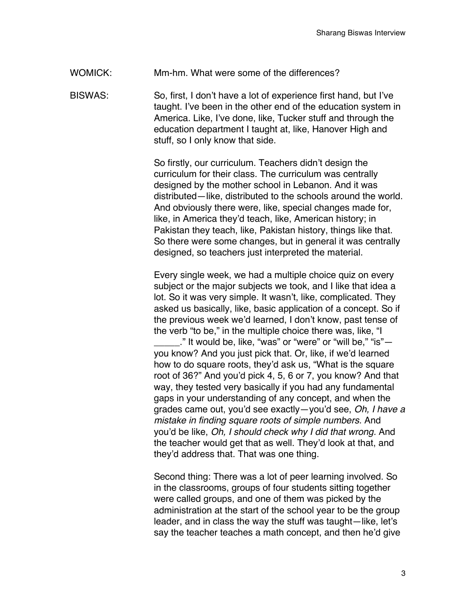WOMICK: Mm-hm. What were some of the differences?

BISWAS: So, first, I don't have a lot of experience first hand, but I've taught. I've been in the other end of the education system in America. Like, I've done, like, Tucker stuff and through the education department I taught at, like, Hanover High and stuff, so I only know that side.

> So firstly, our curriculum. Teachers didn't design the curriculum for their class. The curriculum was centrally designed by the mother school in Lebanon. And it was distributed—like, distributed to the schools around the world. And obviously there were, like, special changes made for, like, in America they'd teach, like, American history; in Pakistan they teach, like, Pakistan history, things like that. So there were some changes, but in general it was centrally designed, so teachers just interpreted the material.

> Every single week, we had a multiple choice quiz on every subject or the major subjects we took, and I like that idea a lot. So it was very simple. It wasn't, like, complicated. They asked us basically, like, basic application of a concept. So if the previous week we'd learned, I don't know, past tense of the verb "to be," in the multiple choice there was, like, "I ." It would be, like, "was" or "were" or "will be," "is" $$ you know? And you just pick that. Or, like, if we'd learned how to do square roots, they'd ask us, "What is the square root of 36?" And you'd pick 4, 5, 6 or 7, you know? And that way, they tested very basically if you had any fundamental

gaps in your understanding of any concept, and when the grades came out, you'd see exactly—you'd see, *Oh, I have a mistake in finding square roots of simple numbers.* And you'd be like, *Oh, I should check why I did that wrong.* And the teacher would get that as well. They'd look at that, and they'd address that. That was one thing.

Second thing: There was a lot of peer learning involved. So in the classrooms, groups of four students sitting together were called groups, and one of them was picked by the administration at the start of the school year to be the group leader, and in class the way the stuff was taught—like, let's say the teacher teaches a math concept, and then he'd give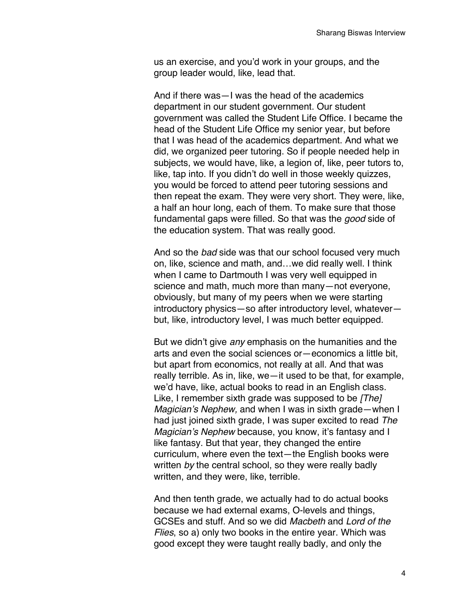us an exercise, and you'd work in your groups, and the group leader would, like, lead that.

And if there was—I was the head of the academics department in our student government. Our student government was called the Student Life Office. I became the head of the Student Life Office my senior year, but before that I was head of the academics department. And what we did, we organized peer tutoring. So if people needed help in subjects, we would have, like, a legion of, like, peer tutors to, like, tap into. If you didn't do well in those weekly quizzes, you would be forced to attend peer tutoring sessions and then repeat the exam. They were very short. They were, like, a half an hour long, each of them. To make sure that those fundamental gaps were filled. So that was the *good* side of the education system. That was really good.

And so the *bad* side was that our school focused very much on, like, science and math, and…we did really well. I think when I came to Dartmouth I was very well equipped in science and math, much more than many—not everyone, obviously, but many of my peers when we were starting introductory physics—so after introductory level, whatever but, like, introductory level, I was much better equipped.

But we didn't give *any* emphasis on the humanities and the arts and even the social sciences or—economics a little bit, but apart from economics, not really at all. And that was really terrible. As in, like, we—it used to be that, for example, we'd have, like, actual books to read in an English class. Like, I remember sixth grade was supposed to be *[The] Magician's Nephew,* and when I was in sixth grade—when I had just joined sixth grade, I was super excited to read *The Magician's Nephew* because, you know, it's fantasy and I like fantasy. But that year, they changed the entire curriculum, where even the text—the English books were written *by* the central school, so they were really badly written, and they were, like, terrible.

And then tenth grade, we actually had to do actual books because we had external exams, O-levels and things, GCSEs and stuff. And so we did *Macbeth* and *Lord of the Flies*, so a) only two books in the entire year. Which was good except they were taught really badly, and only the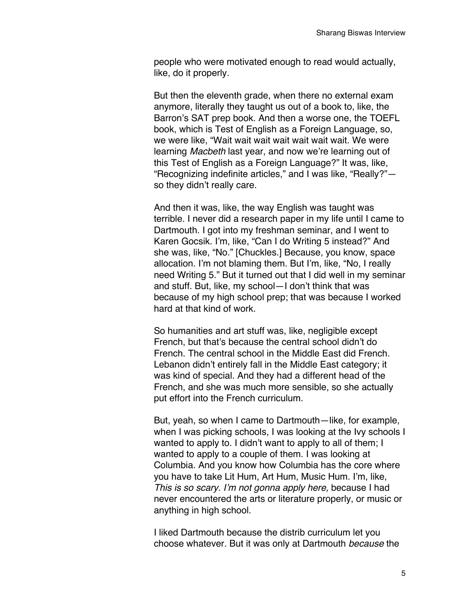people who were motivated enough to read would actually, like, do it properly.

But then the eleventh grade, when there no external exam anymore, literally they taught us out of a book to, like, the Barron's SAT prep book. And then a worse one, the TOEFL book, which is Test of English as a Foreign Language, so, we were like, "Wait wait wait wait wait wait wait. We were learning *Macbeth* last year, and now we're learning out of this Test of English as a Foreign Language?" It was, like, "Recognizing indefinite articles," and I was like, "Really?" so they didn't really care.

And then it was, like, the way English was taught was terrible. I never did a research paper in my life until I came to Dartmouth. I got into my freshman seminar, and I went to Karen Gocsik. I'm, like, "Can I do Writing 5 instead?" And she was, like, "No." [Chuckles.] Because, you know, space allocation. I'm not blaming them. But I'm, like, "No, I really need Writing 5." But it turned out that I did well in my seminar and stuff. But, like, my school—I don't think that was because of my high school prep; that was because I worked hard at that kind of work.

So humanities and art stuff was, like, negligible except French, but that's because the central school didn't do French. The central school in the Middle East did French. Lebanon didn't entirely fall in the Middle East category; it was kind of special. And they had a different head of the French, and she was much more sensible, so she actually put effort into the French curriculum.

But, yeah, so when I came to Dartmouth—like, for example, when I was picking schools, I was looking at the Ivy schools I wanted to apply to. I didn't want to apply to all of them; I wanted to apply to a couple of them. I was looking at Columbia. And you know how Columbia has the core where you have to take Lit Hum, Art Hum, Music Hum. I'm, like, *This is so scary. I'm not gonna apply here,* because I had never encountered the arts or literature properly, or music or anything in high school.

I liked Dartmouth because the distrib curriculum let you choose whatever. But it was only at Dartmouth *because* the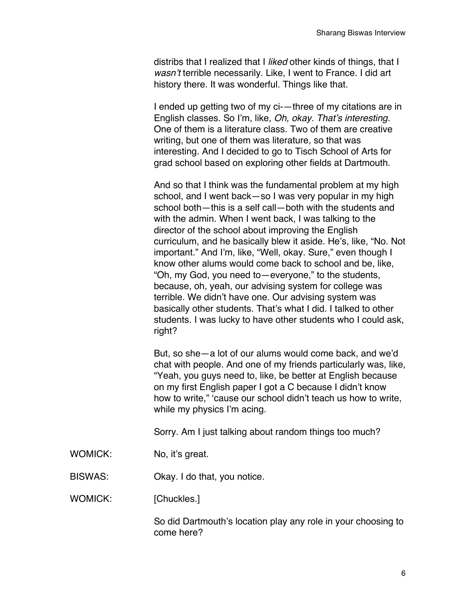distribs that I realized that I *liked* other kinds of things, that I *wasn't* terrible necessarily. Like, I went to France. I did art history there. It was wonderful. Things like that.

I ended up getting two of my ci-—three of my citations are in English classes. So I'm, like, *Oh, okay. That's interesting.* One of them is a literature class. Two of them are creative writing, but one of them was literature, so that was interesting. And I decided to go to Tisch School of Arts for grad school based on exploring other fields at Dartmouth.

And so that I think was the fundamental problem at my high school, and I went back—so I was very popular in my high school both—this is a self call—both with the students and with the admin. When I went back, I was talking to the director of the school about improving the English curriculum, and he basically blew it aside. He's, like, "No. Not important." And I'm, like, "Well, okay. Sure," even though I know other alums would come back to school and be, like, "Oh, my God, you need to—everyone," to the students, because, oh, yeah, our advising system for college was terrible. We didn't have one. Our advising system was basically other students. That's what I did. I talked to other students. I was lucky to have other students who I could ask, right?

But, so she—a lot of our alums would come back, and we'd chat with people. And one of my friends particularly was, like, "Yeah, you guys need to, like, be better at English because on my first English paper I got a C because I didn't know how to write," 'cause our school didn't teach us how to write, while my physics I'm acing.

Sorry. Am I just talking about random things too much?

- WOMICK: No, it's great.
- BISWAS: Okay. I do that, you notice.

WOMICK: [Chuckles.]

So did Dartmouth's location play any role in your choosing to come here?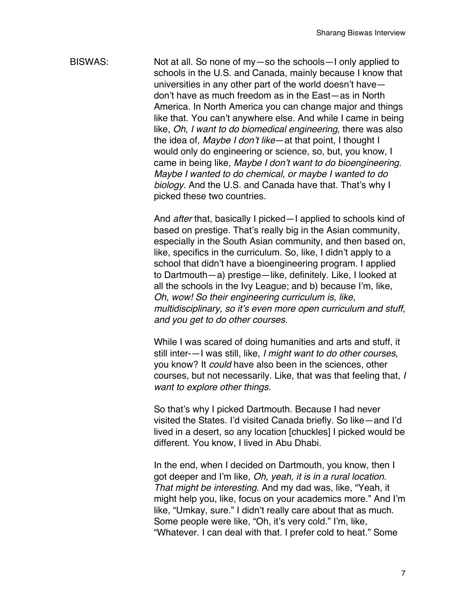BISWAS: Not at all. So none of my—so the schools—I only applied to schools in the U.S. and Canada, mainly because I know that universities in any other part of the world doesn't have don't have as much freedom as in the East—as in North America. In North America you can change major and things like that. You can't anywhere else. And while I came in being like, *Oh, I want to do biomedical engineering*, there was also the idea of, *Maybe I don't like*—at that point, I thought I would only do engineering or science, so, but, you know, I came in being like, *Maybe I don't want to do bioengineering. Maybe I wanted to do chemical, or maybe I wanted to do biology.* And the U.S. and Canada have that. That's why I picked these two countries.

> And *after* that, basically I picked—I applied to schools kind of based on prestige. That's really big in the Asian community, especially in the South Asian community, and then based on, like, specifics in the curriculum. So, like, I didn't apply to a school that didn't have a bioengineering program. I applied to Dartmouth—a) prestige—like, definitely. Like, I looked at all the schools in the Ivy League; and b) because I'm, like, *Oh, wow! So their engineering curriculum is, like, multidisciplinary, so it's even more open curriculum and stuff, and you get to do other courses*.

> While I was scared of doing humanities and arts and stuff, it still inter-—I was still, like, *I might want to do other courses*, you know? It *could* have also been in the sciences, other courses, but not necessarily. Like, that was that feeling that, *I want to explore other things.*

> So that's why I picked Dartmouth. Because I had never visited the States. I'd visited Canada briefly. So like—and I'd lived in a desert, so any location [chuckles] I picked would be different. You know, I lived in Abu Dhabi.

> In the end, when I decided on Dartmouth, you know, then I got deeper and I'm like, *Oh, yeah, it is in a rural location. That might be interesting.* And my dad was, like, "Yeah, it might help you, like, focus on your academics more." And I'm like, "Umkay, sure." I didn't really care about that as much. Some people were like, "Oh, it's very cold." I'm, like, "Whatever. I can deal with that. I prefer cold to heat." Some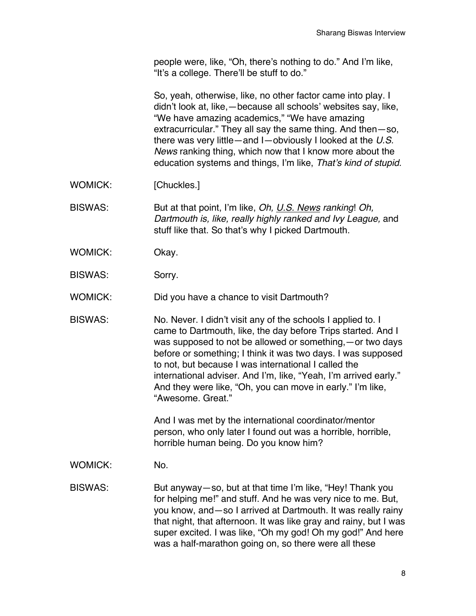people were, like, "Oh, there's nothing to do." And I'm like, "It's a college. There'll be stuff to do."

So, yeah, otherwise, like, no other factor came into play. I didn't look at, like,—because all schools' websites say, like, "We have amazing academics," "We have amazing extracurricular." They all say the same thing. And then—so, there was very little—and I—obviously I looked at the *U.S. News* ranking thing, which now that I know more about the education systems and things, I'm like, *That's kind of stupid.*

WOMICK: [Chuckles.]

BISWAS: But at that point, I'm like, *Oh, U.S. News ranking*! *Oh, Dartmouth is, like, really highly ranked and Ivy League,* and stuff like that. So that's why I picked Dartmouth.

- WOMICK: Okay.
- BISWAS: Sorry.

WOMICK: Did you have a chance to visit Dartmouth?

BISWAS: No. Never. I didn't visit any of the schools I applied to. I came to Dartmouth, like, the day before Trips started. And I was supposed to not be allowed or something,—or two days before or something; I think it was two days. I was supposed to not, but because I was international I called the international adviser. And I'm, like, "Yeah, I'm arrived early." And they were like, "Oh, you can move in early." I'm like, "Awesome. Great."

> And I was met by the international coordinator/mentor person, who only later I found out was a horrible, horrible, horrible human being. Do you know him?

WOMICK: No.

BISWAS: But anyway—so, but at that time I'm like, "Hey! Thank you for helping me!" and stuff. And he was very nice to me. But, you know, and—so I arrived at Dartmouth. It was really rainy that night, that afternoon. It was like gray and rainy, but I was super excited. I was like, "Oh my god! Oh my god!" And here was a half-marathon going on, so there were all these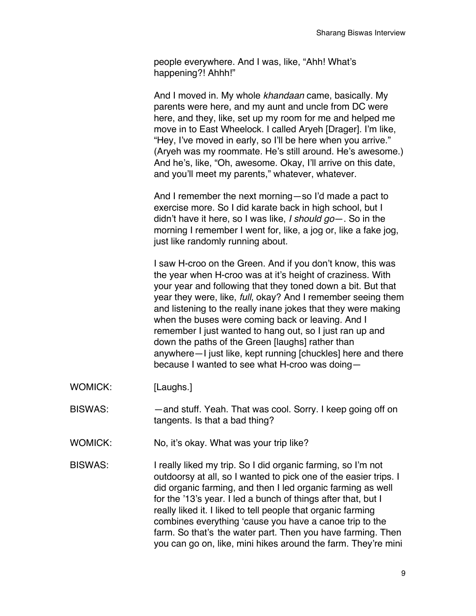people everywhere. And I was, like, "Ahh! What's happening?! Ahhh!"

And I moved in. My whole *khandaan* came, basically. My parents were here, and my aunt and uncle from DC were here, and they, like, set up my room for me and helped me move in to East Wheelock. I called Aryeh [Drager]. I'm like, "Hey, I've moved in early, so I'll be here when you arrive." (Aryeh was my roommate. He's still around. He's awesome.) And he's, like, "Oh, awesome. Okay, I'll arrive on this date, and you'll meet my parents," whatever, whatever.

And I remember the next morning—so I'd made a pact to exercise more. So I did karate back in high school, but I didn't have it here, so I was like, *I should go*—. So in the morning I remember I went for, like, a jog or, like a fake jog, just like randomly running about.

I saw H-croo on the Green. And if you don't know, this was the year when H-croo was at it's height of craziness. With your year and following that they toned down a bit. But that year they were, like, *full*, okay? And I remember seeing them and listening to the really inane jokes that they were making when the buses were coming back or leaving. And I remember I just wanted to hang out, so I just ran up and down the paths of the Green [laughs] rather than anywhere—I just like, kept running [chuckles] here and there because I wanted to see what H-croo was doing—

- WOMICK: [Laughs.]
- BISWAS: —and stuff. Yeah. That was cool. Sorry. I keep going off on tangents. Is that a bad thing?
- WOMICK: No, it's okay. What was your trip like?
- BISWAS: I really liked my trip. So I did organic farming, so I'm not outdoorsy at all, so I wanted to pick one of the easier trips. I did organic farming, and then I led organic farming as well for the '13's year. I led a bunch of things after that, but I really liked it. I liked to tell people that organic farming combines everything 'cause you have a canoe trip to the farm. So that's the water part. Then you have farming. Then you can go on, like, mini hikes around the farm. They're mini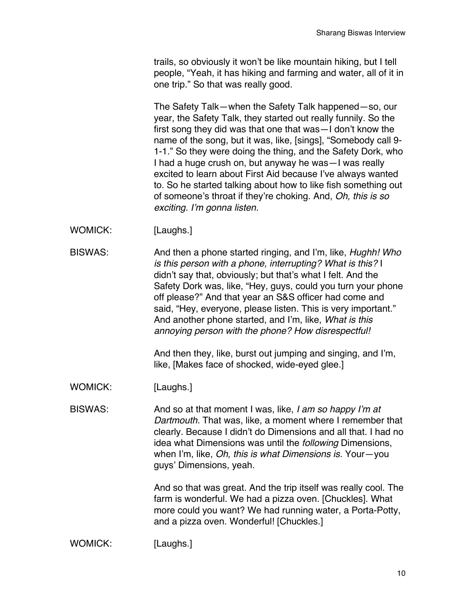trails, so obviously it won't be like mountain hiking, but I tell people, "Yeah, it has hiking and farming and water, all of it in one trip." So that was really good.

The Safety Talk—when the Safety Talk happened—so, our year, the Safety Talk, they started out really funnily. So the first song they did was that one that was—I don't know the name of the song, but it was, like, [sings], "Somebody call 9- 1-1." So they were doing the thing, and the Safety Dork, who I had a huge crush on, but anyway he was—I was really excited to learn about First Aid because I've always wanted to. So he started talking about how to like fish something out of someone's throat if they're choking. And, *Oh, this is so exciting. I'm gonna listen.*

- WOMICK: [Laughs.]
- BISWAS: And then a phone started ringing, and I'm, like, *Hughh! Who is this person with a phone, interrupting? What is this?* I didn't say that, obviously; but that's what I felt. And the Safety Dork was, like, "Hey, guys, could you turn your phone off please?" And that year an S&S officer had come and said, "Hey, everyone, please listen. This is very important." And another phone started, and I'm, like, *What is this annoying person with the phone? How disrespectful!*

And then they, like, burst out jumping and singing, and I'm, like, [Makes face of shocked, wide-eyed glee.]

- WOMICK: [Laughs.]
- BISWAS: And so at that moment I was, like, *I am so happy I'm at Dartmouth.* That was, like, a moment where I remember that clearly. Because I didn't do Dimensions and all that. I had no idea what Dimensions was until the *following* Dimensions, when I'm, like, *Oh, this is what Dimensions is.* Your—you guys' Dimensions, yeah.

And so that was great. And the trip itself was really cool. The farm is wonderful. We had a pizza oven. [Chuckles]. What more could you want? We had running water, a Porta-Potty, and a pizza oven. Wonderful! [Chuckles.]

WOMICK: [Laughs.]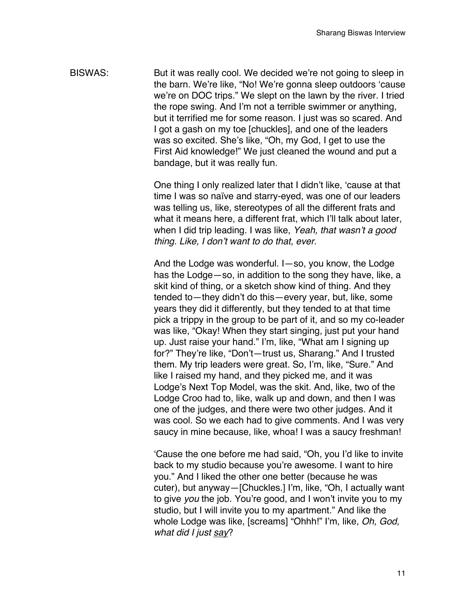BISWAS: But it was really cool. We decided we're not going to sleep in the barn. We're like, "No! We're gonna sleep outdoors 'cause we're on DOC trips." We slept on the lawn by the river. I tried the rope swing. And I'm not a terrible swimmer or anything, but it terrified me for some reason. I just was so scared. And I got a gash on my toe [chuckles], and one of the leaders was so excited. She's like, "Oh, my God, I get to use the First Aid knowledge!" We just cleaned the wound and put a bandage, but it was really fun.

> One thing I only realized later that I didn't like, 'cause at that time I was so naïve and starry-eyed, was one of our leaders was telling us, like, stereotypes of all the different frats and what it means here, a different frat, which I'll talk about later, when I did trip leading. I was like, *Yeah, that wasn't a good thing. Like, I don't want to do that, ever.*

And the Lodge was wonderful. I—so, you know, the Lodge has the Lodge—so, in addition to the song they have, like, a skit kind of thing, or a sketch show kind of thing. And they tended to—they didn't do this—every year, but, like, some years they did it differently, but they tended to at that time pick a trippy in the group to be part of it, and so my co-leader was like, "Okay! When they start singing, just put your hand up. Just raise your hand." I'm, like, "What am I signing up for?" They're like, "Don't—trust us, Sharang." And I trusted them. My trip leaders were great. So, I'm, like, "Sure." And like I raised my hand, and they picked me, and it was Lodge's Next Top Model, was the skit. And, like, two of the Lodge Croo had to, like, walk up and down, and then I was one of the judges, and there were two other judges. And it was cool. So we each had to give comments. And I was very saucy in mine because, like, whoa! I was a saucy freshman!

'Cause the one before me had said, "Oh, you I'd like to invite back to my studio because you're awesome. I want to hire you." And I liked the other one better (because he was cuter), but anyway—[Chuckles.] I'm, like, "Oh, I actually want to give *you* the job. You're good, and I won't invite you to my studio, but I will invite you to my apartment." And like the whole Lodge was like, [screams] "Ohhh!" I'm, like, *Oh, God, what did I just say*?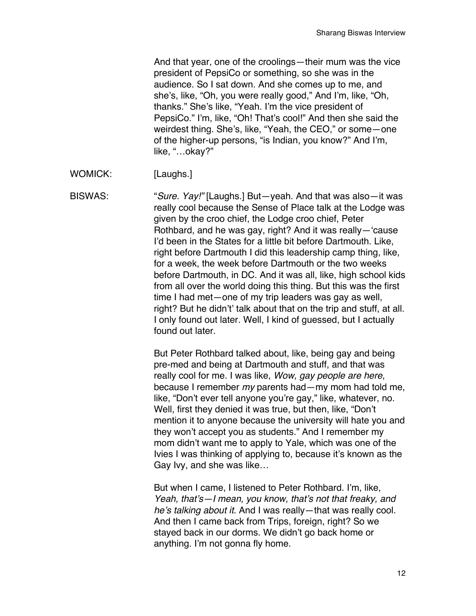And that year, one of the croolings—their mum was the vice president of PepsiCo or something, so she was in the audience. So I sat down. And she comes up to me, and she's, like, "Oh, you were really good," And I'm, like, "Oh, thanks." She's like, "Yeah. I'm the vice president of PepsiCo." I'm, like, "Oh! That's cool!" And then she said the weirdest thing. She's, like, "Yeah, the CEO," or some—one of the higher-up persons, "is Indian, you know?" And I'm, like, "…okay?"

WOMICK: [Laughs.]

BISWAS: "*Sure. Yay!"* [Laughs.] But—yeah. And that was also—it was really cool because the Sense of Place talk at the Lodge was given by the croo chief, the Lodge croo chief, Peter Rothbard, and he was gay, right? And it was really—'cause I'd been in the States for a little bit before Dartmouth. Like, right before Dartmouth I did this leadership camp thing, like, for a week, the week before Dartmouth or the two weeks before Dartmouth, in DC. And it was all, like, high school kids from all over the world doing this thing. But this was the first time I had met—one of my trip leaders was gay as well, right? But he didn't' talk about that on the trip and stuff, at all. I only found out later. Well, I kind of guessed, but I actually found out later.

> But Peter Rothbard talked about, like, being gay and being pre-med and being at Dartmouth and stuff, and that was really cool for me. I was like, *Wow, gay people are here*, because I remember *my* parents had—my mom had told me, like, "Don't ever tell anyone you're gay," like, whatever, no. Well, first they denied it was true, but then, like, "Don't mention it to anyone because the university will hate you and they won't accept you as students." And I remember my mom didn't want me to apply to Yale, which was one of the Ivies I was thinking of applying to, because it's known as the Gay Ivy, and she was like…

But when I came, I listened to Peter Rothbard. I'm, like, *Yeah, that's—I mean, you know, that's not that freaky, and he's talking about it*. And I was really—that was really cool. And then I came back from Trips, foreign, right? So we stayed back in our dorms. We didn't go back home or anything. I'm not gonna fly home.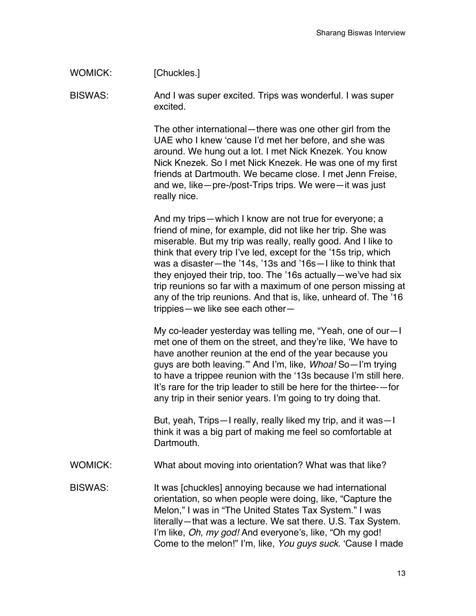# WOMICK: [Chuckles.]

BISWAS: And I was super excited. Trips was wonderful. I was super excited.

> The other international—there was one other girl from the UAE who I knew 'cause I'd met her before, and she was around. We hung out a lot. I met Nick Knezek. You know Nick Knezek. So I met Nick Knezek. He was one of my first friends at Dartmouth. We became close. I met Jenn Freise, and we, like—pre-/post-Trips trips. We were—it was just really nice.

And my trips—which I know are not true for everyone; a friend of mine, for example, did not like her trip. She was miserable. But my trip was really, really good. And I like to think that every trip I've led, except for the '15s trip, which was a disaster—the '14s, '13s and '16s—I like to think that they enjoyed their trip, too. The '16s actually—we've had six trip reunions so far with a maximum of one person missing at any of the trip reunions. And that is, like, unheard of. The '16 trippies—we like see each other—

My co-leader yesterday was telling me, "Yeah, one of our—I met one of them on the street, and they're like, 'We have to have another reunion at the end of the year because you guys are both leaving.'" And I'm, like, *Whoa!* So—I'm trying to have a trippee reunion with the '13s because I'm still here. It's rare for the trip leader to still be here for the thirtee-—for any trip in their senior years. I'm going to try doing that.

But, yeah, Trips—I really, really liked my trip, and it was—I think it was a big part of making me feel so comfortable at Dartmouth.

WOMICK: What about moving into orientation? What was that like?

BISWAS: It was [chuckles] annoying because we had international orientation, so when people were doing, like, "Capture the Melon," I was in "The United States Tax System." I was literally—that was a lecture. We sat there. U.S. Tax System. I'm like, *Oh, my god!* And everyone's, like, "Oh my god! Come to the melon!" I'm, like, *You guys suck*. 'Cause I made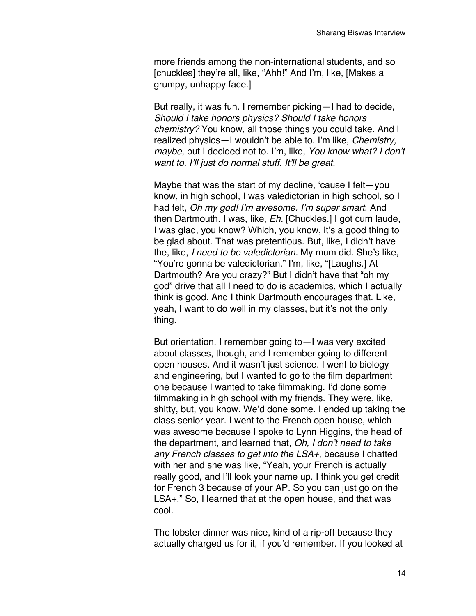more friends among the non-international students, and so [chuckles] they're all, like, "Ahh!" And I'm, like, [Makes a grumpy, unhappy face.]

But really, it was fun. I remember picking—I had to decide, *Should I take honors physics? Should I take honors chemistry?* You know, all those things you could take. And I realized physics—I wouldn't be able to. I'm like, *Chemistry, maybe*, but I decided not to. I'm, like, *You know what? I don't want to. I'll just do normal stuff. It'll be great.*

Maybe that was the start of my decline, 'cause I felt—you know, in high school, I was valedictorian in high school, so I had felt, *Oh my god! I'm awesome. I'm super smart*. And then Dartmouth. I was, like, *Eh.* [Chuckles.] I got cum laude, I was glad, you know? Which, you know, it's a good thing to be glad about. That was pretentious. But, like, I didn't have the, like, *I need to be valedictorian.* My mum did. She's like, "You're gonna be valedictorian." I'm, like, "[Laughs.] At Dartmouth? Are you crazy?" But I didn't have that "oh my god" drive that all I need to do is academics, which I actually think is good. And I think Dartmouth encourages that. Like, yeah, I want to do well in my classes, but it's not the only thing.

But orientation. I remember going to—I was very excited about classes, though, and I remember going to different open houses. And it wasn't just science. I went to biology and engineering, but I wanted to go to the film department one because I wanted to take filmmaking. I'd done some filmmaking in high school with my friends. They were, like, shitty, but, you know. We'd done some. I ended up taking the class senior year. I went to the French open house, which was awesome because I spoke to Lynn Higgins, the head of the department, and learned that, *Oh, I don't need to take any French classes to get into the LSA+*, because I chatted with her and she was like, "Yeah, your French is actually really good, and I'll look your name up. I think you get credit for French 3 because of your AP. So you can just go on the LSA+." So, I learned that at the open house, and that was cool.

The lobster dinner was nice, kind of a rip-off because they actually charged us for it, if you'd remember. If you looked at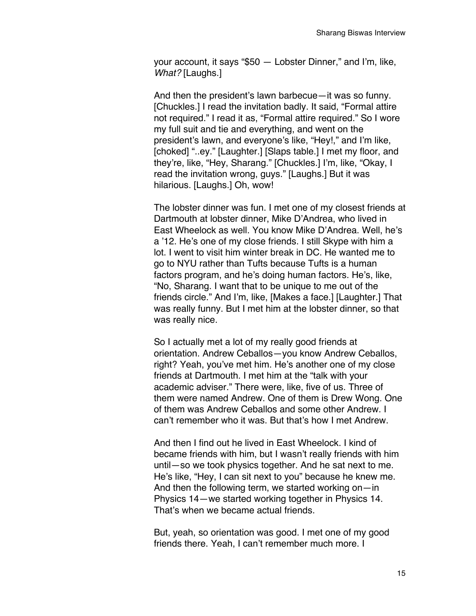your account, it says "\$50 — Lobster Dinner," and I'm, like, *What?* [Laughs.]

And then the president's lawn barbecue—it was so funny. [Chuckles.] I read the invitation badly. It said, "Formal attire not required." I read it as, "Formal attire required." So I wore my full suit and tie and everything, and went on the president's lawn, and everyone's like, "Hey!," and I'm like, [choked] "..ey." [Laughter.] [Slaps table.] I met my floor, and they're, like, "Hey, Sharang." [Chuckles.] I'm, like, "Okay, I read the invitation wrong, guys." [Laughs.] But it was hilarious. [Laughs.] Oh, wow!

The lobster dinner was fun. I met one of my closest friends at Dartmouth at lobster dinner, Mike D'Andrea, who lived in East Wheelock as well. You know Mike D'Andrea. Well, he's a '12. He's one of my close friends. I still Skype with him a lot. I went to visit him winter break in DC. He wanted me to go to NYU rather than Tufts because Tufts is a human factors program, and he's doing human factors. He's, like, "No, Sharang. I want that to be unique to me out of the friends circle." And I'm, like, [Makes a face.] [Laughter.] That was really funny. But I met him at the lobster dinner, so that was really nice.

So I actually met a lot of my really good friends at orientation. Andrew Ceballos—you know Andrew Ceballos, right? Yeah, you've met him. He's another one of my close friends at Dartmouth. I met him at the "talk with your academic adviser." There were, like, five of us. Three of them were named Andrew. One of them is Drew Wong. One of them was Andrew Ceballos and some other Andrew. I can't remember who it was. But that's how I met Andrew.

And then I find out he lived in East Wheelock. I kind of became friends with him, but I wasn't really friends with him until—so we took physics together. And he sat next to me. He's like, "Hey, I can sit next to you" because he knew me. And then the following term, we started working on—in Physics 14—we started working together in Physics 14. That's when we became actual friends.

But, yeah, so orientation was good. I met one of my good friends there. Yeah, I can't remember much more. I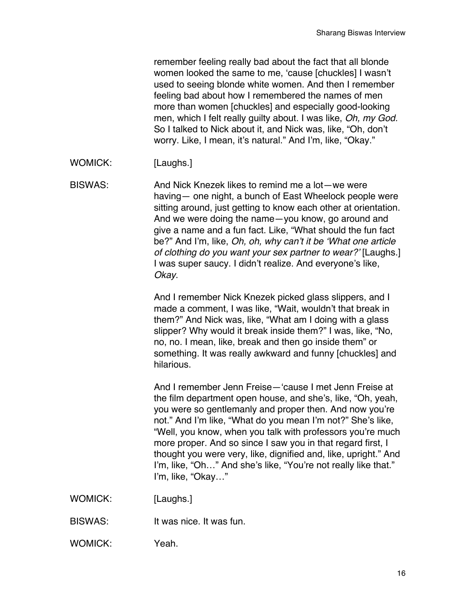remember feeling really bad about the fact that all blonde women looked the same to me, 'cause [chuckles] I wasn't used to seeing blonde white women. And then I remember feeling bad about how I remembered the names of men more than women [chuckles] and especially good-looking men, which I felt really guilty about. I was like, *Oh, my God.*  So I talked to Nick about it, and Nick was, like, "Oh, don't worry. Like, I mean, it's natural." And I'm, like, "Okay."

WOMICK: [Laughs.]

BISWAS: And Nick Knezek likes to remind me a lot—we were having— one night, a bunch of East Wheelock people were sitting around, just getting to know each other at orientation. And we were doing the name—you know, go around and give a name and a fun fact. Like, "What should the fun fact be?" And I'm, like, *Oh, oh, why can't it be 'What one article of clothing do you want your sex partner to wear?'* [Laughs.] I was super saucy. I didn't realize. And everyone's like, *Okay*.

> And I remember Nick Knezek picked glass slippers, and I made a comment, I was like, "Wait, wouldn't that break in them?" And Nick was, like, "What am I doing with a glass slipper? Why would it break inside them?" I was, like, "No, no, no. I mean, like, break and then go inside them" or something. It was really awkward and funny [chuckles] and hilarious.

And I remember Jenn Freise—'cause I met Jenn Freise at the film department open house, and she's, like, "Oh, yeah, you were so gentlemanly and proper then. And now you're not." And I'm like, "What do you mean I'm not?" She's like, "Well, you know, when you talk with professors you're much more proper. And so since I saw you in that regard first, I thought you were very, like, dignified and, like, upright." And I'm, like, "Oh..." And she's like, "You're not really like that." I'm, like, "Okay…"

- WOMICK: [Laughs.]
- BISWAS: It was nice. It was fun.
- WOMICK: Yeah.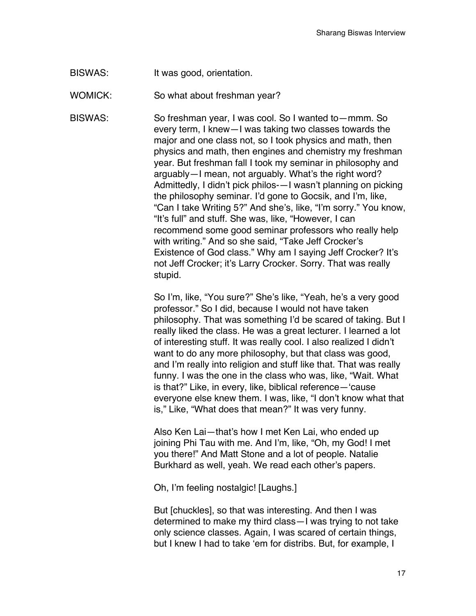BISWAS: It was good, orientation.

WOMICK: So what about freshman year?

BISWAS: So freshman year, I was cool. So I wanted to—mmm. So every term, I knew—I was taking two classes towards the major and one class not, so I took physics and math, then physics and math, then engines and chemistry my freshman year. But freshman fall I took my seminar in philosophy and arguably—I mean, not arguably. What's the right word? Admittedly, I didn't pick philos-—I wasn't planning on picking the philosophy seminar. I'd gone to Gocsik, and I'm, like, "Can I take Writing 5?" And she's, like, "I'm sorry." You know, "It's full" and stuff. She was, like, "However, I can recommend some good seminar professors who really help with writing." And so she said, "Take Jeff Crocker's Existence of God class." Why am I saying Jeff Crocker? It's not Jeff Crocker; it's Larry Crocker. Sorry. That was really stupid.

> So I'm, like, "You sure?" She's like, "Yeah, he's a very good professor." So I did, because I would not have taken philosophy. That was something I'd be scared of taking. But I really liked the class. He was a great lecturer. I learned a lot of interesting stuff. It was really cool. I also realized I didn't want to do any more philosophy, but that class was good, and I'm really into religion and stuff like that. That was really funny. I was the one in the class who was, like, "Wait. What is that?" Like, in every, like, biblical reference—'cause everyone else knew them. I was, like, "I don't know what that is," Like, "What does that mean?" It was very funny.

Also Ken Lai—that's how I met Ken Lai, who ended up joining Phi Tau with me. And I'm, like, "Oh, my God! I met you there!" And Matt Stone and a lot of people. Natalie Burkhard as well, yeah. We read each other's papers.

Oh, I'm feeling nostalgic! [Laughs.]

But [chuckles], so that was interesting. And then I was determined to make my third class—I was trying to not take only science classes. Again, I was scared of certain things, but I knew I had to take 'em for distribs. But, for example, I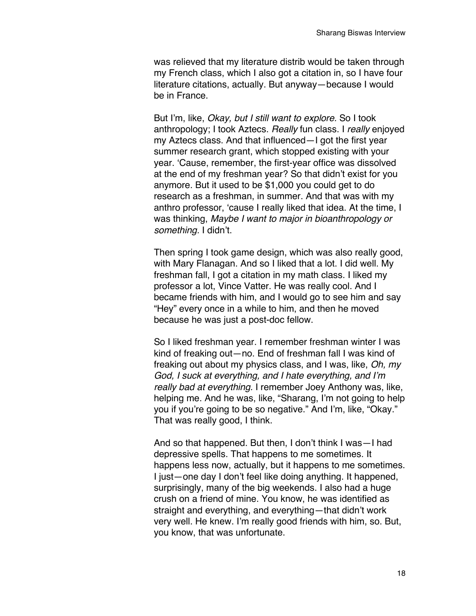was relieved that my literature distrib would be taken through my French class, which I also got a citation in, so I have four literature citations, actually. But anyway—because I would be in France.

But I'm, like, *Okay, but I still want to explore.* So I took anthropology; I took Aztecs. *Really* fun class. I *really* enjoyed my Aztecs class. And that influenced—I got the first year summer research grant, which stopped existing with your year. 'Cause, remember, the first-year office was dissolved at the end of my freshman year? So that didn't exist for you anymore. But it used to be \$1,000 you could get to do research as a freshman, in summer. And that was with my anthro professor, 'cause I really liked that idea. At the time, I was thinking, *Maybe I want to major in bioanthropology or something.* I didn't.

Then spring I took game design, which was also really good, with Mary Flanagan. And so I liked that a lot. I did well. My freshman fall, I got a citation in my math class. I liked my professor a lot, Vince Vatter. He was really cool. And I became friends with him, and I would go to see him and say "Hey" every once in a while to him, and then he moved because he was just a post-doc fellow.

So I liked freshman year. I remember freshman winter I was kind of freaking out—no. End of freshman fall I was kind of freaking out about my physics class, and I was, like, *Oh, my God, I suck at everything, and I hate everything, and I'm really bad at everything.* I remember Joey Anthony was, like, helping me. And he was, like, "Sharang, I'm not going to help you if you're going to be so negative." And I'm, like, "Okay." That was really good, I think.

And so that happened. But then, I don't think I was—I had depressive spells. That happens to me sometimes. It happens less now, actually, but it happens to me sometimes. I just—one day I don't feel like doing anything. It happened, surprisingly, many of the big weekends. I also had a huge crush on a friend of mine. You know, he was identified as straight and everything, and everything—that didn't work very well. He knew. I'm really good friends with him, so. But, you know, that was unfortunate.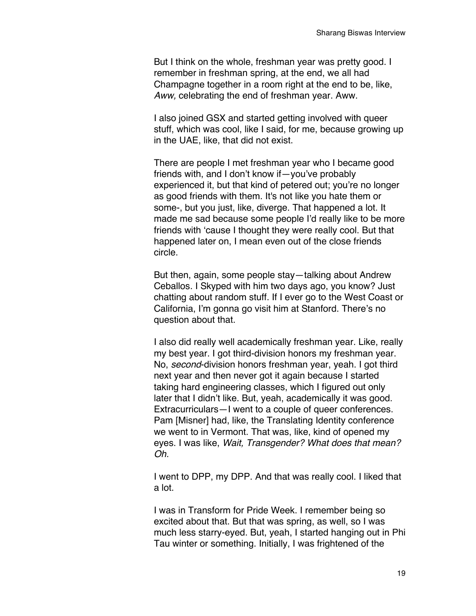But I think on the whole, freshman year was pretty good. I remember in freshman spring, at the end, we all had Champagne together in a room right at the end to be, like, *Aww,* celebrating the end of freshman year. Aww.

I also joined GSX and started getting involved with queer stuff, which was cool, like I said, for me, because growing up in the UAE, like, that did not exist.

There are people I met freshman year who I became good friends with, and I don't know if—you've probably experienced it, but that kind of petered out; you're no longer as good friends with them. It's not like you hate them or some-, but you just, like, diverge. That happened a lot. It made me sad because some people I'd really like to be more friends with 'cause I thought they were really cool. But that happened later on, I mean even out of the close friends circle.

But then, again, some people stay—talking about Andrew Ceballos. I Skyped with him two days ago, you know? Just chatting about random stuff. If I ever go to the West Coast or California, I'm gonna go visit him at Stanford. There's no question about that.

I also did really well academically freshman year. Like, really my best year. I got third-division honors my freshman year. No, *second*-division honors freshman year, yeah. I got third next year and then never got it again because I started taking hard engineering classes, which I figured out only later that I didn't like. But, yeah, academically it was good. Extracurriculars—I went to a couple of queer conferences. Pam [Misner] had, like, the Translating Identity conference we went to in Vermont. That was, like, kind of opened my eyes. I was like, *Wait, Transgender? What does that mean? Oh.*

I went to DPP, my DPP. And that was really cool. I liked that a lot.

I was in Transform for Pride Week. I remember being so excited about that. But that was spring, as well, so I was much less starry-eyed. But, yeah, I started hanging out in Phi Tau winter or something. Initially, I was frightened of the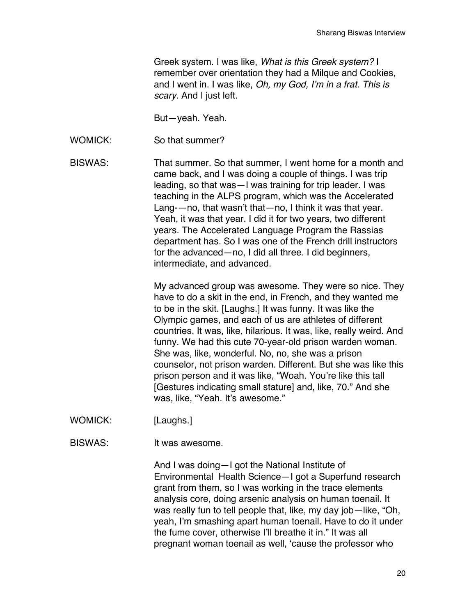Greek system. I was like, *What is this Greek system?* I remember over orientation they had a Milque and Cookies, and I went in. I was like, *Oh, my God, I'm in a frat. This is scary*. And I just left.

But—yeah. Yeah.

WOMICK: So that summer?

BISWAS: That summer. So that summer, I went home for a month and came back, and I was doing a couple of things. I was trip leading, so that was—I was training for trip leader. I was teaching in the ALPS program, which was the Accelerated Lang-—no, that wasn't that—no, I think it was that year. Yeah, it was that year. I did it for two years, two different years. The Accelerated Language Program the Rassias department has. So I was one of the French drill instructors for the advanced—no, I did all three. I did beginners, intermediate, and advanced.

> My advanced group was awesome. They were so nice. They have to do a skit in the end, in French, and they wanted me to be in the skit. [Laughs.] It was funny. It was like the Olympic games, and each of us are athletes of different countries. It was, like, hilarious. It was, like, really weird. And funny. We had this cute 70-year-old prison warden woman. She was, like, wonderful. No, no, she was a prison counselor, not prison warden. Different. But she was like this prison person and it was like, "Woah. You're like this tall [Gestures indicating small stature] and, like, 70." And she was, like, "Yeah. It's awesome."

WOMICK: [Laughs.]

BISWAS: It was awesome.

And I was doing—I got the National Institute of Environmental Health Science—I got a Superfund research grant from them, so I was working in the trace elements analysis core, doing arsenic analysis on human toenail. It was really fun to tell people that, like, my day job—like, "Oh, yeah, I'm smashing apart human toenail. Have to do it under the fume cover, otherwise I'll breathe it in." It was all pregnant woman toenail as well, 'cause the professor who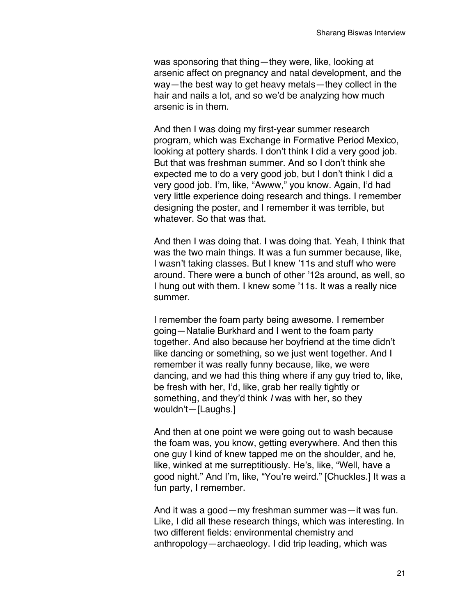was sponsoring that thing—they were, like, looking at arsenic affect on pregnancy and natal development, and the way—the best way to get heavy metals—they collect in the hair and nails a lot, and so we'd be analyzing how much arsenic is in them.

And then I was doing my first-year summer research program, which was Exchange in Formative Period Mexico, looking at pottery shards. I don't think I did a very good job. But that was freshman summer. And so I don't think she expected me to do a very good job, but I don't think I did a very good job. I'm, like, "Awww," you know. Again, I'd had very little experience doing research and things. I remember designing the poster, and I remember it was terrible, but whatever. So that was that.

And then I was doing that. I was doing that. Yeah, I think that was the two main things. It was a fun summer because, like, I wasn't taking classes. But I knew '11s and stuff who were around. There were a bunch of other '12s around, as well, so I hung out with them. I knew some '11s. It was a really nice summer.

I remember the foam party being awesome. I remember going—Natalie Burkhard and I went to the foam party together. And also because her boyfriend at the time didn't like dancing or something, so we just went together. And I remember it was really funny because, like, we were dancing, and we had this thing where if any guy tried to, like, be fresh with her, I'd, like, grab her really tightly or something, and they'd think *I* was with her, so they wouldn't—[Laughs.]

And then at one point we were going out to wash because the foam was, you know, getting everywhere. And then this one guy I kind of knew tapped me on the shoulder, and he, like, winked at me surreptitiously. He's, like, "Well, have a good night." And I'm, like, "You're weird." [Chuckles.] It was a fun party, I remember.

And it was a good—my freshman summer was—it was fun. Like, I did all these research things, which was interesting. In two different fields: environmental chemistry and anthropology—archaeology. I did trip leading, which was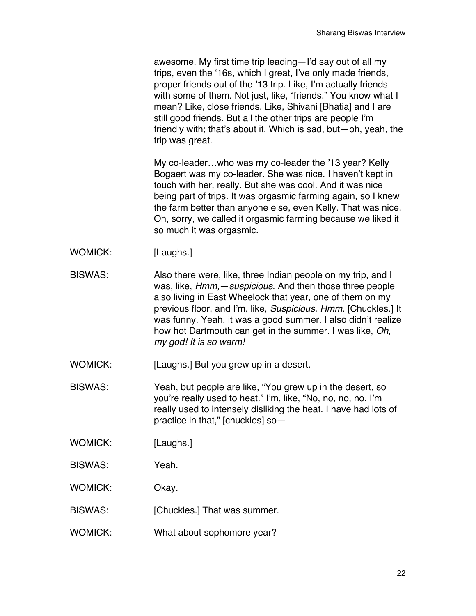awesome. My first time trip leading—I'd say out of all my trips, even the '16s, which I great, I've only made friends, proper friends out of the '13 trip. Like, I'm actually friends with some of them. Not just, like, "friends." You know what I mean? Like, close friends. Like, Shivani [Bhatia] and I are still good friends. But all the other trips are people I'm friendly with; that's about it. Which is sad, but—oh, yeah, the trip was great.

My co-leader…who was my co-leader the '13 year? Kelly Bogaert was my co-leader. She was nice. I haven't kept in touch with her, really. But she was cool. And it was nice being part of trips. It was orgasmic farming again, so I knew the farm better than anyone else, even Kelly. That was nice. Oh, sorry, we called it orgasmic farming because we liked it so much it was orgasmic.

- WOMICK: [Laughs.]
- BISWAS: Also there were, like, three Indian people on my trip, and I was, like, *Hmm,*—*suspicious*. And then those three people also living in East Wheelock that year, one of them on my previous floor, and I'm, like, *Suspicious. Hmm.* [Chuckles.] It was funny. Yeah, it was a good summer. I also didn't realize how hot Dartmouth can get in the summer. I was like, *Oh, my god! It is so warm!*

WOMICK: [Laughs.] But you grew up in a desert.

BISWAS: Yeah, but people are like, "You grew up in the desert, so you're really used to heat." I'm, like, "No, no, no, no. I'm really used to intensely disliking the heat. I have had lots of practice in that," [chuckles] so—

- WOMICK: [Laughs.]
- BISWAS: Yeah.
- WOMICK: Okay.
- BISWAS: [Chuckles.] That was summer.
- WOMICK: What about sophomore year?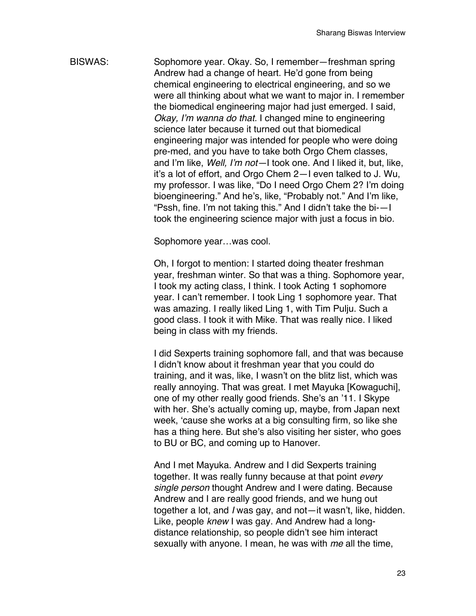BISWAS: Sophomore year. Okay. So, I remember—freshman spring Andrew had a change of heart. He'd gone from being chemical engineering to electrical engineering, and so we were all thinking about what we want to major in*.* I remember the biomedical engineering major had just emerged. I said, *Okay, I'm wanna do that.* I changed mine to engineering science later because it turned out that biomedical engineering major was intended for people who were doing pre-med, and you have to take both Orgo Chem classes, and I'm like, *Well, I'm not—*I took one. And I liked it, but, like, it's a lot of effort, and Orgo Chem 2—I even talked to J. Wu, my professor. I was like, "Do I need Orgo Chem 2? I'm doing bioengineering." And he's, like, "Probably not." And I'm like, "Pssh, fine. I'm not taking this." And I didn't take the bi-—I took the engineering science major with just a focus in bio.

Sophomore year…was cool.

Oh, I forgot to mention: I started doing theater freshman year, freshman winter. So that was a thing. Sophomore year, I took my acting class, I think. I took Acting 1 sophomore year. I can't remember. I took Ling 1 sophomore year. That was amazing. I really liked Ling 1, with Tim Pulju. Such a good class. I took it with Mike. That was really nice. I liked being in class with my friends.

I did Sexperts training sophomore fall, and that was because I didn't know about it freshman year that you could do training, and it was, like, I wasn't on the blitz list, which was really annoying. That was great. I met Mayuka [Kowaguchi], one of my other really good friends. She's an '11. I Skype with her. She's actually coming up, maybe, from Japan next week, 'cause she works at a big consulting firm, so like she has a thing here. But she's also visiting her sister, who goes to BU or BC, and coming up to Hanover.

And I met Mayuka. Andrew and I did Sexperts training together. It was really funny because at that point *every single person* thought Andrew and I were dating. Because Andrew and I are really good friends, and we hung out together a lot, and *I* was gay, and not—it wasn't, like, hidden. Like, people *knew* I was gay. And Andrew had a longdistance relationship, so people didn't see him interact sexually with anyone. I mean, he was with *me* all the time,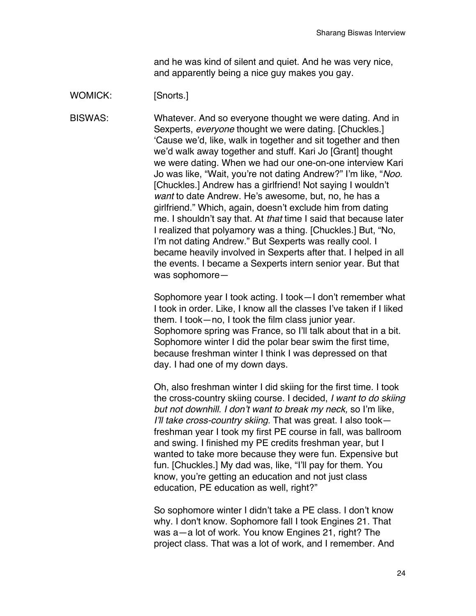and he was kind of silent and quiet. And he was very nice, and apparently being a nice guy makes you gay.

#### WOMICK: [Snorts.]

BISWAS: Whatever. And so everyone thought we were dating. And in Sexperts, *everyone* thought we were dating. [Chuckles.] 'Cause we'd, like, walk in together and sit together and then we'd walk away together and stuff. Kari Jo [Grant] thought we were dating. When we had our one-on-one interview Kari Jo was like, "Wait, you're not dating Andrew?" I'm like, "*Noo.* [Chuckles.] Andrew has a girlfriend! Not saying I wouldn't *want* to date Andrew. He's awesome, but, no, he has a girlfriend." Which, again, doesn't exclude him from dating me. I shouldn't say that. At *that* time I said that because later I realized that polyamory was a thing. [Chuckles.] But, "No, I'm not dating Andrew." But Sexperts was really cool. I became heavily involved in Sexperts after that. I helped in all the events. I became a Sexperts intern senior year. But that was sophomore—

> Sophomore year I took acting. I took—I don't remember what I took in order. Like, I know all the classes I've taken if I liked them. I took—no, I took the film class junior year. Sophomore spring was France, so I'll talk about that in a bit. Sophomore winter I did the polar bear swim the first time, because freshman winter I think I was depressed on that day. I had one of my down days.

> Oh, also freshman winter I did skiing for the first time. I took the cross-country skiing course. I decided, *I want to do skiing but not downhill. I don't want to break my neck,* so I'm like, *I'll take cross-country skiing*. That was great. I also took freshman year I took my first PE course in fall, was ballroom and swing. I finished my PE credits freshman year, but I wanted to take more because they were fun. Expensive but fun. [Chuckles.] My dad was, like, "I'll pay for them. You know, you're getting an education and not just class education, PE education as well, right?"

So sophomore winter I didn't take a PE class. I don't know why. I don't know. Sophomore fall I took Engines 21. That was a—a lot of work. You know Engines 21, right? The project class. That was a lot of work, and I remember. And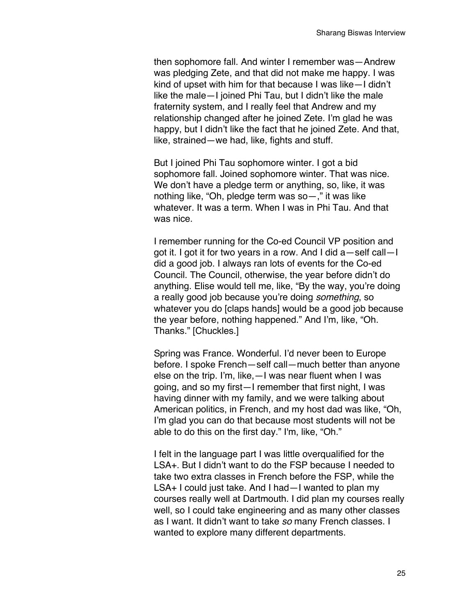then sophomore fall. And winter I remember was—Andrew was pledging Zete, and that did not make me happy. I was kind of upset with him for that because I was like—I didn't like the male—I joined Phi Tau, but I didn't like the male fraternity system, and I really feel that Andrew and my relationship changed after he joined Zete. I'm glad he was happy, but I didn't like the fact that he joined Zete. And that, like, strained—we had, like, fights and stuff.

But I joined Phi Tau sophomore winter. I got a bid sophomore fall. Joined sophomore winter. That was nice. We don't have a pledge term or anything, so, like, it was nothing like, "Oh, pledge term was so—," it was like whatever. It was a term. When I was in Phi Tau. And that was nice.

I remember running for the Co-ed Council VP position and got it. I got it for two years in a row. And I did a—self call—I did a good job. I always ran lots of events for the Co-ed Council. The Council, otherwise, the year before didn't do anything. Elise would tell me, like, "By the way, you're doing a really good job because you're doing *something*, so whatever you do [claps hands] would be a good job because the year before, nothing happened." And I'm, like, "Oh. Thanks." [Chuckles.]

Spring was France. Wonderful. I'd never been to Europe before. I spoke French—self call—much better than anyone else on the trip. I'm, like,—I was near fluent when I was going, and so my first—I remember that first night, I was having dinner with my family, and we were talking about American politics, in French, and my host dad was like, "Oh, I'm glad you can do that because most students will not be able to do this on the first day." I'm, like, "Oh."

I felt in the language part I was little overqualified for the LSA+. But I didn't want to do the FSP because I needed to take two extra classes in French before the FSP, while the LSA+ I could just take. And I had—I wanted to plan my courses really well at Dartmouth. I did plan my courses really well, so I could take engineering and as many other classes as I want. It didn't want to take *so* many French classes. I wanted to explore many different departments.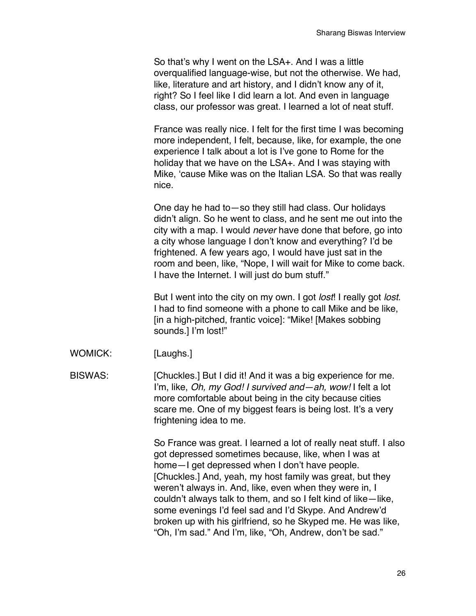So that's why I went on the LSA+. And I was a little overqualified language-wise, but not the otherwise. We had, like, literature and art history, and I didn't know any of it, right? So I feel like I did learn a lot. And even in language class, our professor was great. I learned a lot of neat stuff.

France was really nice. I felt for the first time I was becoming more independent, I felt, because, like, for example, the one experience I talk about a lot is I've gone to Rome for the holiday that we have on the LSA+. And I was staying with Mike, 'cause Mike was on the Italian LSA. So that was really nice.

One day he had to—so they still had class. Our holidays didn't align. So he went to class, and he sent me out into the city with a map. I would *never* have done that before, go into a city whose language I don't know and everything? I'd be frightened. A few years ago, I would have just sat in the room and been, like, "Nope, I will wait for Mike to come back. I have the Internet. I will just do bum stuff."

But I went into the city on my own. I got *lost*! I really got *lost*. I had to find someone with a phone to call Mike and be like, [in a high-pitched, frantic voice]: "Mike! [Makes sobbing sounds.] I'm lost!"

WOMICK: [Laughs.]

BISWAS: [Chuckles.] But I did it! And it was a big experience for me. I'm, like, *Oh, my God! I survived and—ah, wow!* I felt a lot more comfortable about being in the city because cities scare me. One of my biggest fears is being lost. It's a very frightening idea to me.

> So France was great. I learned a lot of really neat stuff. I also got depressed sometimes because, like, when I was at home—I get depressed when I don't have people. [Chuckles.] And, yeah, my host family was great, but they weren't always in. And, like, even when they were in, I couldn't always talk to them, and so I felt kind of like—like, some evenings I'd feel sad and I'd Skype. And Andrew'd broken up with his girlfriend, so he Skyped me. He was like, "Oh, I'm sad." And I'm, like, "Oh, Andrew, don't be sad."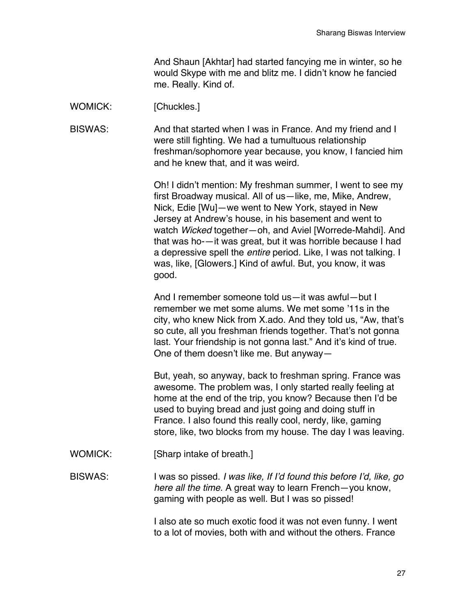And Shaun [Akhtar] had started fancying me in winter, so he would Skype with me and blitz me. I didn't know he fancied me. Really. Kind of.

### WOMICK: [Chuckles.]

BISWAS: And that started when I was in France. And my friend and I were still fighting. We had a tumultuous relationship freshman/sophomore year because, you know, I fancied him and he knew that, and it was weird.

> Oh! I didn't mention: My freshman summer, I went to see my first Broadway musical. All of us—like, me, Mike, Andrew, Nick, Edie [Wu]—we went to New York, stayed in New Jersey at Andrew's house, in his basement and went to watch *Wicked* together—oh, and Aviel [Worrede-Mahdi]. And that was ho-—it was great, but it was horrible because I had a depressive spell the *entire* period. Like, I was not talking. I was, like, [Glowers.] Kind of awful. But, you know, it was good.

> And I remember someone told us—it was awful—but I remember we met some alums. We met some '11s in the city, who knew Nick from X.ado. And they told us, "Aw, that's so cute, all you freshman friends together. That's not gonna last. Your friendship is not gonna last." And it's kind of true. One of them doesn't like me. But anyway—

> But, yeah, so anyway, back to freshman spring. France was awesome. The problem was, I only started really feeling at home at the end of the trip, you know? Because then I'd be used to buying bread and just going and doing stuff in France. I also found this really cool, nerdy, like, gaming store, like, two blocks from my house. The day I was leaving.

WOMICK: [Sharp intake of breath.]

BISWAS: I was so pissed. *I was like, If I'd found this before I'd, like, go here all the time.* A great way to learn French—you know, gaming with people as well. But I was so pissed!

> I also ate so much exotic food it was not even funny. I went to a lot of movies, both with and without the others. France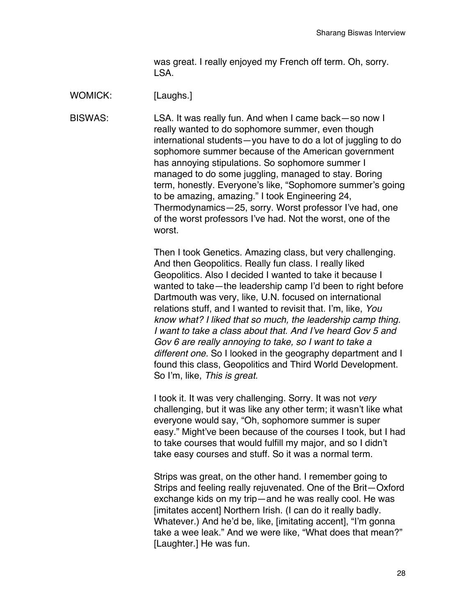was great. I really enjoyed my French off term. Oh, sorry. LSA.

WOMICK: [Laughs.]

BISWAS: LSA. It was really fun. And when I came back—so now I really wanted to do sophomore summer, even though international students—you have to do a lot of juggling to do sophomore summer because of the American government has annoying stipulations. So sophomore summer I managed to do some juggling, managed to stay. Boring term, honestly. Everyone's like, "Sophomore summer's going to be amazing, amazing." I took Engineering 24, Thermodynamics—25, sorry. Worst professor I've had, one of the worst professors I've had. Not the worst, one of the worst.

> Then I took Genetics. Amazing class, but very challenging. And then Geopolitics. Really fun class. I really liked Geopolitics. Also I decided I wanted to take it because I wanted to take—the leadership camp I'd been to right before Dartmouth was very, like, U.N. focused on international relations stuff, and I wanted to revisit that. I'm, like, *You know what? I liked that so much, the leadership camp thing. I want to take a class about that. And I've heard Gov 5 and Gov 6 are really annoying to take, so I want to take a different one.* So I looked in the geography department and I found this class, Geopolitics and Third World Development. So I'm, like, *This is great.*

> I took it. It was very challenging. Sorry. It was not *very* challenging, but it was like any other term; it wasn't like what everyone would say, "Oh, sophomore summer is super easy." Might've been because of the courses I took, but I had to take courses that would fulfill my major, and so I didn't take easy courses and stuff. So it was a normal term.

> Strips was great, on the other hand. I remember going to Strips and feeling really rejuvenated. One of the Brit—Oxford exchange kids on my trip—and he was really cool. He was [imitates accent] Northern Irish. (I can do it really badly. Whatever.) And he'd be, like, [imitating accent], "I'm gonna take a wee leak." And we were like, "What does that mean?" [Laughter.] He was fun.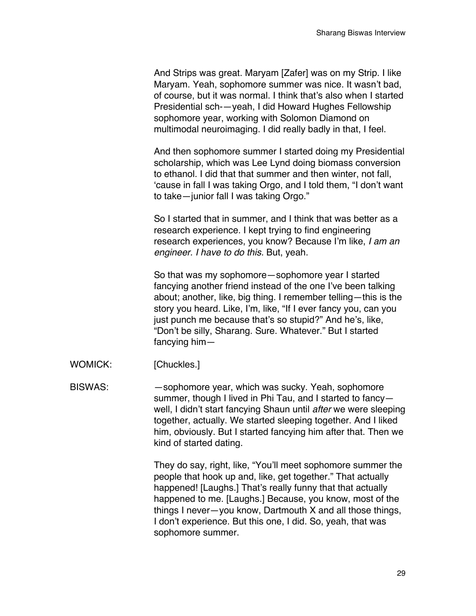And Strips was great. Maryam [Zafer] was on my Strip. I like Maryam. Yeah, sophomore summer was nice. It wasn't bad, of course, but it was normal. I think that's also when I started Presidential sch-—yeah, I did Howard Hughes Fellowship sophomore year, working with Solomon Diamond on multimodal neuroimaging. I did really badly in that, I feel.

And then sophomore summer I started doing my Presidential scholarship, which was Lee Lynd doing biomass conversion to ethanol. I did that that summer and then winter, not fall, 'cause in fall I was taking Orgo, and I told them, "I don't want to take—junior fall I was taking Orgo."

So I started that in summer, and I think that was better as a research experience. I kept trying to find engineering research experiences, you know? Because I'm like, *I am an engineer. I have to do this.* But, yeah.

So that was my sophomore—sophomore year I started fancying another friend instead of the one I've been talking about; another, like, big thing. I remember telling—this is the story you heard. Like, I'm, like, "If I ever fancy you, can you just punch me because that's so stupid?" And he's, like, "Don't be silly, Sharang. Sure. Whatever." But I started fancying him—

WOMICK: [Chuckles.]

BISWAS: — — sophomore year, which was sucky. Yeah, sophomore summer, though I lived in Phi Tau, and I started to fancy well, I didn't start fancying Shaun until *after* we were sleeping together, actually. We started sleeping together. And I liked him, obviously. But I started fancying him after that. Then we kind of started dating.

> They do say, right, like, "You'll meet sophomore summer the people that hook up and, like, get together." That actually happened! [Laughs.] That's really funny that that actually happened to me. [Laughs.] Because, you know, most of the things I never—you know, Dartmouth X and all those things, I don't experience. But this one, I did. So, yeah, that was sophomore summer.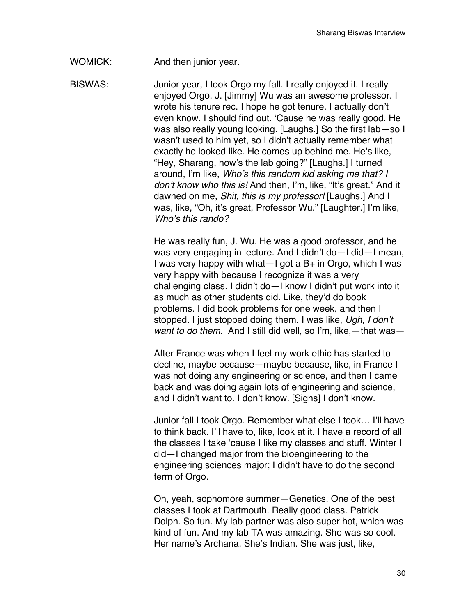# WOMICK: And then junior year.

BISWAS: Junior year, I took Orgo my fall. I really enjoyed it. I really enjoyed Orgo. J. [Jimmy] Wu was an awesome professor. I wrote his tenure rec. I hope he got tenure. I actually don't even know. I should find out. 'Cause he was really good. He was also really young looking. [Laughs.] So the first lab—so I wasn't used to him yet, so I didn't actually remember what exactly he looked like. He comes up behind me. He's like, "Hey, Sharang, how's the lab going?" [Laughs.] I turned around, I'm like, *Who's this random kid asking me that? I don't know who this is!* And then, I'm, like, "It's great." And it dawned on me, *Shit, this is my professor!* [Laughs.] And I was, like, "Oh, it's great, Professor Wu." [Laughter.] I'm like, *Who's this rando?*

> He was really fun, J. Wu. He was a good professor, and he was very engaging in lecture. And I didn't do—I did—I mean, I was very happy with what—I got a  $B+$  in Orgo, which I was very happy with because I recognize it was a very challenging class. I didn't do—I know I didn't put work into it as much as other students did. Like, they'd do book problems. I did book problems for one week, and then I stopped. I just stopped doing them. I was like, *Ugh, I don't want to do them*. And I still did well, so I'm, like,—that was—

After France was when I feel my work ethic has started to decline, maybe because—maybe because, like, in France I was not doing any engineering or science, and then I came back and was doing again lots of engineering and science, and I didn't want to. I don't know. [Sighs] I don't know.

Junior fall I took Orgo. Remember what else I took… I'll have to think back. I'll have to, like, look at it. I have a record of all the classes I take 'cause I like my classes and stuff. Winter I did—I changed major from the bioengineering to the engineering sciences major; I didn't have to do the second term of Orgo.

Oh, yeah, sophomore summer—Genetics. One of the best classes I took at Dartmouth. Really good class. Patrick Dolph. So fun. My lab partner was also super hot, which was kind of fun. And my lab TA was amazing. She was so cool. Her name's Archana. She's Indian. She was just, like,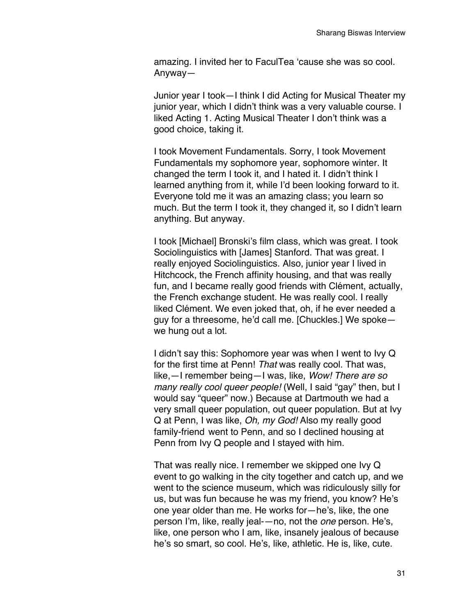amazing. I invited her to FaculTea 'cause she was so cool. Anyway—

Junior year I took—I think I did Acting for Musical Theater my junior year, which I didn't think was a very valuable course. I liked Acting 1. Acting Musical Theater I don't think was a good choice, taking it.

I took Movement Fundamentals. Sorry, I took Movement Fundamentals my sophomore year, sophomore winter. It changed the term I took it, and I hated it. I didn't think I learned anything from it, while I'd been looking forward to it. Everyone told me it was an amazing class; you learn so much. But the term I took it, they changed it, so I didn't learn anything. But anyway.

I took [Michael] Bronski's film class, which was great. I took Sociolinguistics with [James] Stanford. That was great. I really enjoyed Sociolinguistics. Also, junior year I lived in Hitchcock, the French affinity housing, and that was really fun, and I became really good friends with Clément, actually, the French exchange student. He was really cool. I really liked Clément. We even joked that, oh, if he ever needed a guy for a threesome, he'd call me. [Chuckles.] We spoke we hung out a lot.

I didn't say this: Sophomore year was when I went to Ivy Q for the first time at Penn! *That* was really cool. That was, like,—I remember being—I was, like, *Wow! There are so many really cool queer people!* (Well, I said "gay" then, but I would say "queer" now.) Because at Dartmouth we had a very small queer population, out queer population. But at Ivy Q at Penn, I was like, *Oh, my God!* Also my really good family-friend went to Penn, and so I declined housing at Penn from Ivy Q people and I stayed with him.

That was really nice. I remember we skipped one Ivy Q event to go walking in the city together and catch up, and we went to the science museum, which was ridiculously silly for us, but was fun because he was my friend, you know? He's one year older than me. He works for—he's, like, the one person I'm, like, really jeal-—no, not the *one* person. He's, like, one person who I am, like, insanely jealous of because he's so smart, so cool. He's, like, athletic. He is, like, cute.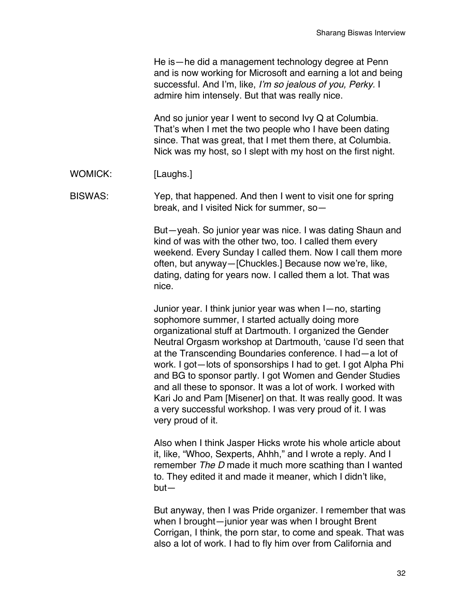|                | He is - he did a management technology degree at Penn<br>and is now working for Microsoft and earning a lot and being<br>successful. And I'm, like, I'm so jealous of you, Perky. I<br>admire him intensely. But that was really nice.                                                                                                                                                                                                                                                                                                                                                                                                                  |
|----------------|---------------------------------------------------------------------------------------------------------------------------------------------------------------------------------------------------------------------------------------------------------------------------------------------------------------------------------------------------------------------------------------------------------------------------------------------------------------------------------------------------------------------------------------------------------------------------------------------------------------------------------------------------------|
|                | And so junior year I went to second Ivy Q at Columbia.<br>That's when I met the two people who I have been dating<br>since. That was great, that I met them there, at Columbia.<br>Nick was my host, so I slept with my host on the first night.                                                                                                                                                                                                                                                                                                                                                                                                        |
| WOMICK:        | [Laughs.]                                                                                                                                                                                                                                                                                                                                                                                                                                                                                                                                                                                                                                               |
| <b>BISWAS:</b> | Yep, that happened. And then I went to visit one for spring<br>break, and I visited Nick for summer, so-                                                                                                                                                                                                                                                                                                                                                                                                                                                                                                                                                |
|                | But-yeah. So junior year was nice. I was dating Shaun and<br>kind of was with the other two, too. I called them every<br>weekend. Every Sunday I called them. Now I call them more<br>often, but anyway-[Chuckles.] Because now we're, like,<br>dating, dating for years now. I called them a lot. That was<br>nice.                                                                                                                                                                                                                                                                                                                                    |
|                | Junior year. I think junior year was when I-no, starting<br>sophomore summer, I started actually doing more<br>organizational stuff at Dartmouth. I organized the Gender<br>Neutral Orgasm workshop at Dartmouth, 'cause I'd seen that<br>at the Transcending Boundaries conference. I had - a lot of<br>work. I got-lots of sponsorships I had to get. I got Alpha Phi<br>and BG to sponsor partly. I got Women and Gender Studies<br>and all these to sponsor. It was a lot of work. I worked with<br>Kari Jo and Pam [Misener] on that. It was really good. It was<br>a very successful workshop. I was very proud of it. I was<br>very proud of it. |
|                | Also when I think Jasper Hicks wrote his whole article about<br>it, like, "Whoo, Sexperts, Ahhh," and I wrote a reply. And I<br>remember The D made it much more scathing than I wanted<br>to. They edited it and made it meaner, which I didn't like,<br>$but-$                                                                                                                                                                                                                                                                                                                                                                                        |
|                | But anyway, then I was Pride organizer. I remember that was<br>when I brought-junior year was when I brought Brent<br>Corrigan, I think, the porn star, to come and speak. That was<br>also a lot of work. I had to fly him over from California and                                                                                                                                                                                                                                                                                                                                                                                                    |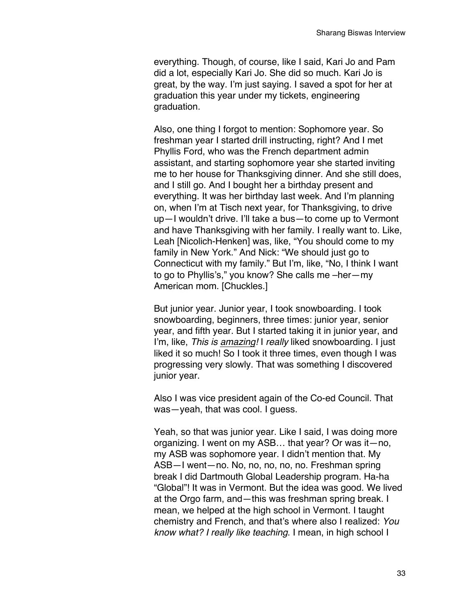everything. Though, of course, like I said, Kari Jo and Pam did a lot, especially Kari Jo. She did so much. Kari Jo is great, by the way. I'm just saying. I saved a spot for her at graduation this year under my tickets, engineering graduation.

Also, one thing I forgot to mention: Sophomore year. So freshman year I started drill instructing, right? And I met Phyllis Ford, who was the French department admin assistant, and starting sophomore year she started inviting me to her house for Thanksgiving dinner. And she still does, and I still go. And I bought her a birthday present and everything. It was her birthday last week. And I'm planning on, when I'm at Tisch next year, for Thanksgiving, to drive up—I wouldn't drive. I'll take a bus—to come up to Vermont and have Thanksgiving with her family. I really want to. Like, Leah [Nicolich-Henken] was, like, "You should come to my family in New York." And Nick: "We should just go to Connecticut with my family." But I'm, like, "No, I think I want to go to Phyllis's," you know? She calls me –her—my American mom. [Chuckles.]

But junior year. Junior year, I took snowboarding. I took snowboarding, beginners, three times: junior year, senior year, and fifth year. But I started taking it in junior year, and I'm, like, *This is amazing!* I *really* liked snowboarding*.* I just liked it so much! So I took it three times, even though I was progressing very slowly. That was something I discovered junior year.

Also I was vice president again of the Co-ed Council. That was—yeah, that was cool. I guess.

Yeah, so that was junior year. Like I said, I was doing more organizing. I went on my ASB… that year? Or was it—no, my ASB was sophomore year. I didn't mention that. My ASB—I went—no. No, no, no, no, no. Freshman spring break I did Dartmouth Global Leadership program. Ha-ha "Global"! It was in Vermont. But the idea was good. We lived at the Orgo farm, and—this was freshman spring break. I mean, we helped at the high school in Vermont. I taught chemistry and French, and that's where also I realized: *You know what? I really like teaching*. I mean, in high school I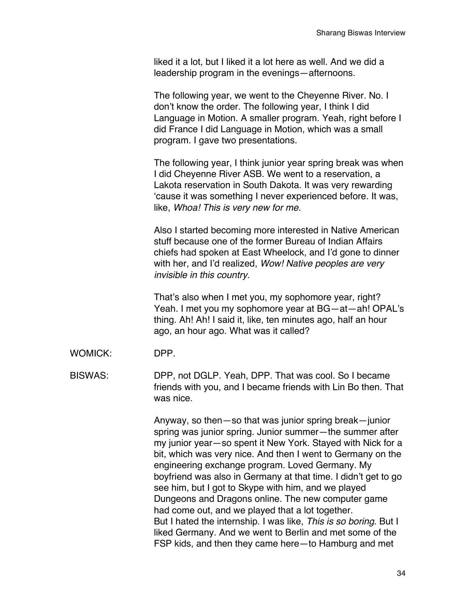liked it a lot, but I liked it a lot here as well. And we did a leadership program in the evenings—afternoons.

The following year, we went to the Cheyenne River. No. I don't know the order. The following year, I think I did Language in Motion. A smaller program. Yeah, right before I did France I did Language in Motion, which was a small program. I gave two presentations.

The following year, I think junior year spring break was when I did Cheyenne River ASB. We went to a reservation, a Lakota reservation in South Dakota. It was very rewarding 'cause it was something I never experienced before. It was, like, *Whoa! This is very new for me.*

Also I started becoming more interested in Native American stuff because one of the former Bureau of Indian Affairs chiefs had spoken at East Wheelock, and I'd gone to dinner with her, and I'd realized, *Wow! Native peoples are very invisible in this country.*

That's also when I met you, my sophomore year, right? Yeah. I met you my sophomore year at BG—at—ah! OPAL's thing. Ah! Ah! I said it, like, ten minutes ago, half an hour ago, an hour ago. What was it called?

WOMICK: DPP.

BISWAS: DPP, not DGLP. Yeah, DPP. That was cool. So I became friends with you, and I became friends with Lin Bo then. That was nice.

> Anyway, so then—so that was junior spring break—junior spring was junior spring. Junior summer—the summer after my junior year—so spent it New York. Stayed with Nick for a bit, which was very nice. And then I went to Germany on the engineering exchange program. Loved Germany. My boyfriend was also in Germany at that time. I didn't get to go see him, but I got to Skype with him, and we played Dungeons and Dragons online. The new computer game had come out, and we played that a lot together. But I hated the internship. I was like, *This is so boring*. But I liked Germany. And we went to Berlin and met some of the FSP kids, and then they came here—to Hamburg and met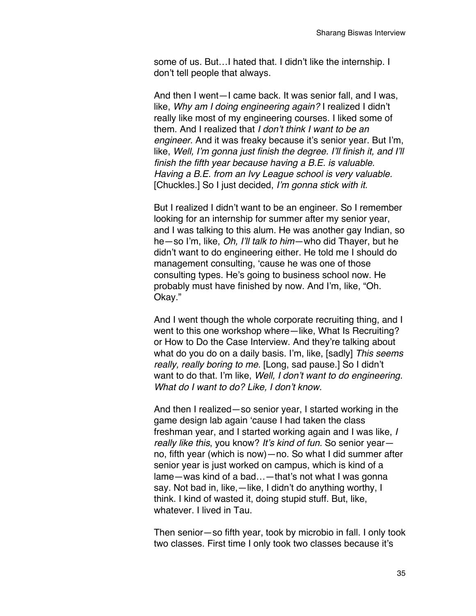some of us. But…I hated that. I didn't like the internship. I don't tell people that always.

And then I went—I came back. It was senior fall, and I was, like, *Why am I doing engineering again?* I realized I didn't really like most of my engineering courses. I liked some of them. And I realized that *I don't think I want to be an engineer.* And it was freaky because it's senior year. But I'm, like, *Well, I'm gonna just finish the degree. I'll finish it, and I'll finish the fifth year because having a B.E. is valuable. Having a B.E. from an Ivy League school is very valuable.*  [Chuckles.] So I just decided, *I'm gonna stick with it.*

But I realized I didn't want to be an engineer. So I remember looking for an internship for summer after my senior year, and I was talking to this alum. He was another gay Indian, so he—so I'm, like, *Oh, I'll talk to him*—who did Thayer, but he didn't want to do engineering either. He told me I should do management consulting, 'cause he was one of those consulting types. He's going to business school now. He probably must have finished by now. And I'm, like, "Oh. Okay."

And I went though the whole corporate recruiting thing, and I went to this one workshop where—like, What Is Recruiting? or How to Do the Case Interview. And they're talking about what do you do on a daily basis. I'm, like, [sadly] *This seems really, really boring to me.* [Long, sad pause.] So I didn't want to do that. I'm like, *Well, I don't want to do engineering. What do I want to do? Like, I don't know.*

And then I realized—so senior year, I started working in the game design lab again 'cause I had taken the class freshman year, and I started working again and I was like, *I really like this*, you know? *It's kind of fun*. So senior year no, fifth year (which is now)—no. So what I did summer after senior year is just worked on campus, which is kind of a lame—was kind of a bad…—that's not what I was gonna say. Not bad in, like,—like, I didn't do anything worthy, I think. I kind of wasted it, doing stupid stuff. But, like, whatever. I lived in Tau.

Then senior—so fifth year, took by microbio in fall. I only took two classes. First time I only took two classes because it's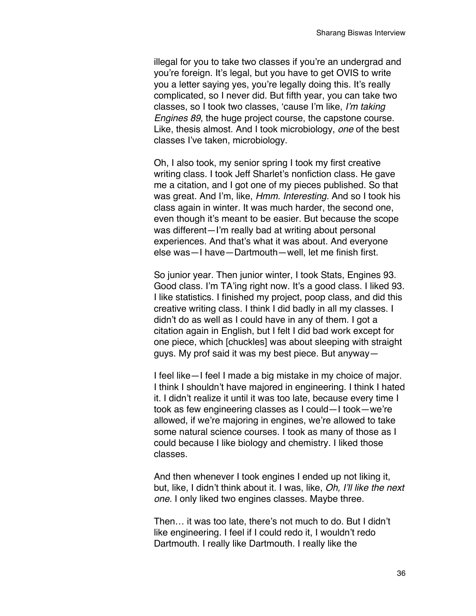illegal for you to take two classes if you're an undergrad and you're foreign. It's legal, but you have to get OVIS to write you a letter saying yes, you're legally doing this. It's really complicated, so I never did. But fifth year, you can take two classes, so I took two classes, 'cause I'm like, *I'm taking Engines 89*, the huge project course, the capstone course. Like, thesis almost. And I took microbiology, *one* of the best classes I've taken, microbiology.

Oh, I also took, my senior spring I took my first creative writing class. I took Jeff Sharlet's nonfiction class. He gave me a citation, and I got one of my pieces published. So that was great. And I'm, like, *Hmm. Interesting.* And so I took his class again in winter. It was much harder, the second one, even though it's meant to be easier. But because the scope was different—I'm really bad at writing about personal experiences. And that's what it was about. And everyone else was—I have—Dartmouth—well, let me finish first.

So junior year. Then junior winter, I took Stats, Engines 93. Good class. I'm TA'ing right now. It's a good class. I liked 93. I like statistics. I finished my project, poop class, and did this creative writing class. I think I did badly in all my classes. I didn't do as well as I could have in any of them. I got a citation again in English, but I felt I did bad work except for one piece, which [chuckles] was about sleeping with straight guys. My prof said it was my best piece. But anyway—

I feel like—I feel I made a big mistake in my choice of major. I think I shouldn't have majored in engineering. I think I hated it. I didn't realize it until it was too late, because every time I took as few engineering classes as I could—I took—we're allowed, if we're majoring in engines, we're allowed to take some natural science courses. I took as many of those as I could because I like biology and chemistry. I liked those classes.

And then whenever I took engines I ended up not liking it, but, like, I didn't think about it. I was, like, *Oh, I'll like the next one.* I only liked two engines classes. Maybe three.

Then… it was too late, there's not much to do. But I didn't like engineering. I feel if I could redo it, I wouldn't redo Dartmouth. I really like Dartmouth. I really like the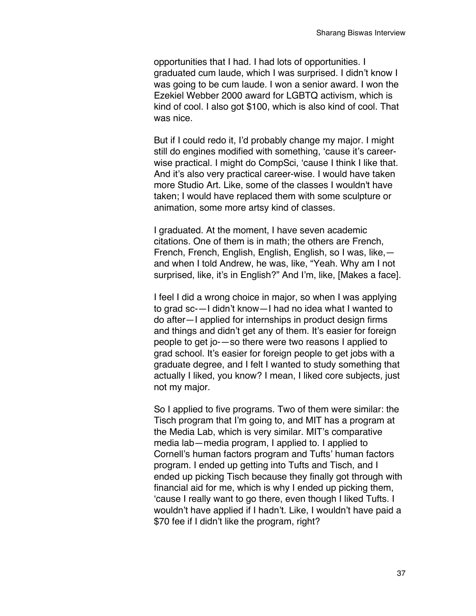opportunities that I had. I had lots of opportunities. I graduated cum laude, which I was surprised. I didn't know I was going to be cum laude. I won a senior award. I won the Ezekiel Webber 2000 award for LGBTQ activism, which is kind of cool. I also got \$100, which is also kind of cool. That was nice.

But if I could redo it, I'd probably change my major. I might still do engines modified with something, 'cause it's careerwise practical. I might do CompSci, 'cause I think I like that. And it's also very practical career-wise. I would have taken more Studio Art. Like, some of the classes I wouldn't have taken; I would have replaced them with some sculpture or animation, some more artsy kind of classes.

I graduated. At the moment, I have seven academic citations. One of them is in math; the others are French, French, French, English, English, English, so I was, like, and when I told Andrew, he was, like, "Yeah. Why am I not surprised, like, it's in English?" And I'm, like, [Makes a face].

I feel I did a wrong choice in major, so when I was applying to grad sc-—I didn't know—I had no idea what I wanted to do after—I applied for internships in product design firms and things and didn't get any of them. It's easier for foreign people to get jo-—so there were two reasons I applied to grad school. It's easier for foreign people to get jobs with a graduate degree, and I felt I wanted to study something that actually I liked, you know? I mean, I liked core subjects, just not my major.

So I applied to five programs. Two of them were similar: the Tisch program that I'm going to, and MIT has a program at the Media Lab, which is very similar. MIT's comparative media lab—media program, I applied to. I applied to Cornell's human factors program and Tufts' human factors program. I ended up getting into Tufts and Tisch, and I ended up picking Tisch because they finally got through with financial aid for me, which is why I ended up picking them, 'cause I really want to go there, even though I liked Tufts. I wouldn't have applied if I hadn't. Like, I wouldn't have paid a \$70 fee if I didn't like the program, right?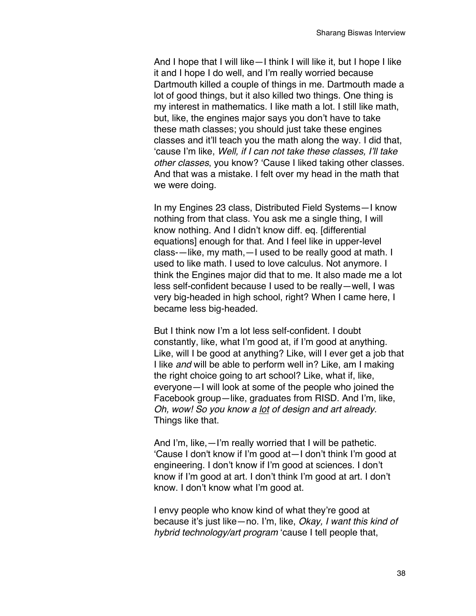And I hope that I will like—I think I will like it, but I hope I like it and I hope I do well, and I'm really worried because Dartmouth killed a couple of things in me. Dartmouth made a lot of good things, but it also killed two things. One thing is my interest in mathematics. I like math a lot. I still like math, but, like, the engines major says you don't have to take these math classes; you should just take these engines classes and it'll teach you the math along the way. I did that, 'cause I'm like, *Well, if I can not take these classes, I'll take other classes*, you know? 'Cause I liked taking other classes. And that was a mistake. I felt over my head in the math that we were doing.

In my Engines 23 class, Distributed Field Systems—I know nothing from that class. You ask me a single thing, I will know nothing. And I didn't know diff. eq. [differential equations] enough for that. And I feel like in upper-level class-—like, my math,—I used to be really good at math. I used to like math. I used to love calculus. Not anymore. I think the Engines major did that to me. It also made me a lot less self-confident because I used to be really—well, I was very big-headed in high school, right? When I came here, I became less big-headed.

But I think now I'm a lot less self-confident. I doubt constantly, like, what I'm good at, if I'm good at anything. Like, will I be good at anything? Like, will I ever get a job that I like *and* will be able to perform well in? Like, am I making the right choice going to art school? Like, what if, like, everyone—I will look at some of the people who joined the Facebook group—like, graduates from RISD. And I'm, like, *Oh, wow! So you know a lot of design and art already.* Things like that.

And I'm, like,—I'm really worried that I will be pathetic. 'Cause I don't know if I'm good at—I don't think I'm good at engineering. I don't know if I'm good at sciences. I don't know if I'm good at art. I don't think I'm good at art. I don't know. I don't know what I'm good at.

I envy people who know kind of what they're good at because it's just like—no. I'm, like, *Okay, I want this kind of hybrid technology/art program* 'cause I tell people that,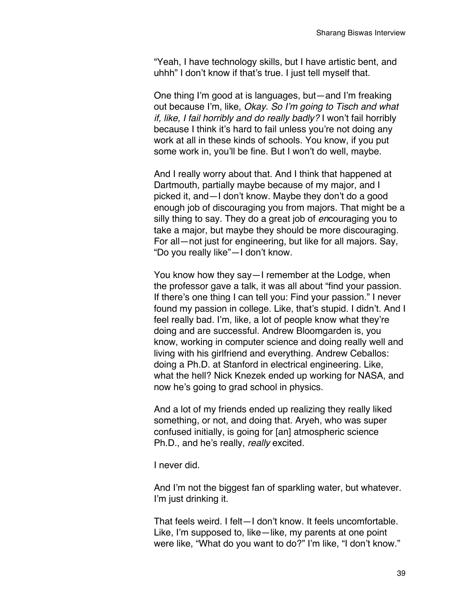"Yeah, I have technology skills, but I have artistic bent, and uhhh" I don't know if that's true. I just tell myself that.

One thing I'm good at is languages, but—and I'm freaking out because I'm, like, *Okay. So I'm going to Tisch and what if, like, I fail horribly and do really badly?* I won't fail horribly because I think it's hard to fail unless you're not doing any work at all in these kinds of schools. You know, if you put some work in, you'll be fine. But I won't do well, maybe.

And I really worry about that. And I think that happened at Dartmouth, partially maybe because of my major, and I picked it, and—I don't know. Maybe they don't do a good enough job of discouraging you from majors. That might be a silly thing to say. They do a great job of *en*couraging you to take a major, but maybe they should be more discouraging. For all—not just for engineering, but like for all majors. Say, "Do you really like"—I don't know.

You know how they say—I remember at the Lodge, when the professor gave a talk, it was all about "find your passion. If there's one thing I can tell you: Find your passion." I never found my passion in college. Like, that's stupid. I didn't. And I feel really bad. I'm, like, a lot of people know what they're doing and are successful. Andrew Bloomgarden is, you know, working in computer science and doing really well and living with his girlfriend and everything. Andrew Ceballos: doing a Ph.D. at Stanford in electrical engineering. Like, what the hell? Nick Knezek ended up working for NASA, and now he's going to grad school in physics.

And a lot of my friends ended up realizing they really liked something, or not, and doing that. Aryeh, who was super confused initially, is going for [an] atmospheric science Ph.D., and he's really, *really* excited.

I never did.

And I'm not the biggest fan of sparkling water, but whatever. I'm just drinking it.

That feels weird. I felt—I don't know. It feels uncomfortable. Like, I'm supposed to, like—like, my parents at one point were like, "What do you want to do?" I'm like, "I don't know."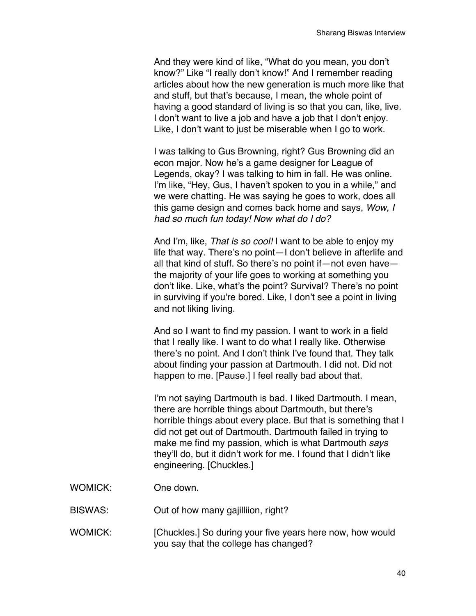And they were kind of like, "What do you mean, you don't know?" Like "I really don't know!" And I remember reading articles about how the new generation is much more like that and stuff, but that's because, I mean, the whole point of having a good standard of living is so that you can, like, live. I don't want to live a job and have a job that I don't enjoy. Like, I don't want to just be miserable when I go to work.

I was talking to Gus Browning, right? Gus Browning did an econ major. Now he's a game designer for League of Legends, okay? I was talking to him in fall. He was online. I'm like, "Hey, Gus, I haven't spoken to you in a while," and we were chatting. He was saying he goes to work, does all this game design and comes back home and says, *Wow, I had so much fun today! Now what do I do?*

And I'm, like, *That is so cool!* I want to be able to enjoy my life that way. There's no point—I don't believe in afterlife and all that kind of stuff. So there's no point if—not even have the majority of your life goes to working at something you don't like. Like, what's the point? Survival? There's no point in surviving if you're bored. Like, I don't see a point in living and not liking living.

And so I want to find my passion. I want to work in a field that I really like. I want to do what I really like. Otherwise there's no point. And I don't think I've found that. They talk about finding your passion at Dartmouth. I did not. Did not happen to me. [Pause.] I feel really bad about that.

I'm not saying Dartmouth is bad. I liked Dartmouth. I mean, there are horrible things about Dartmouth, but there's horrible things about every place. But that is something that I did not get out of Dartmouth. Dartmouth failed in trying to make me find my passion, which is what Dartmouth *says* they'll do, but it didn't work for me. I found that I didn't like engineering. [Chuckles.]

- WOMICK: One down.
- BISWAS: Out of how many gajilliion, right?
- WOMICK: [Chuckles.] So during your five years here now, how would you say that the college has changed?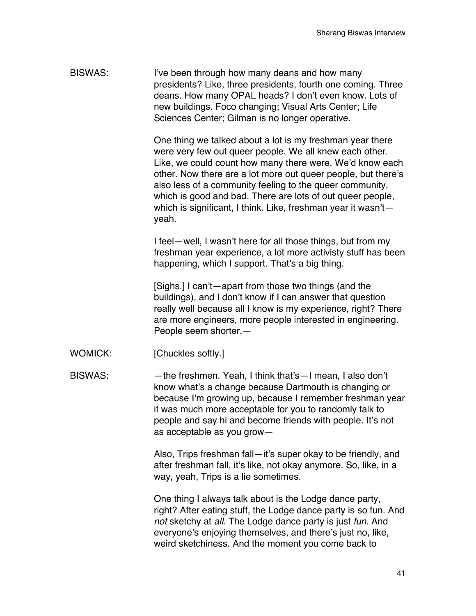| BISWAS: | I've been through how many deans and how many                |
|---------|--------------------------------------------------------------|
|         | presidents? Like, three presidents, fourth one coming. Three |
|         | deans. How many OPAL heads? I don't even know. Lots of       |
|         | new buildings. Foco changing; Visual Arts Center; Life       |
|         | Sciences Center; Gilman is no longer operative.              |

One thing we talked about a lot is my freshman year there were very few out queer people. We all knew each other. Like, we could count how many there were. We'd know each other. Now there are a lot more out queer people, but there's also less of a community feeling to the queer community, which is good and bad. There are lots of out queer people, which is significant, I think. Like, freshman year it wasn't yeah.

I feel—well, I wasn't here for all those things, but from my freshman year experience, a lot more activisty stuff has been happening, which I support. That's a big thing.

[Sighs.] I can't—apart from those two things (and the buildings), and I don't know if I can answer that question really well because all I know is my experience, right? There are more engineers, more people interested in engineering. People seem shorter,—

WOMICK: [Chuckles softly.]

BISWAS: — the freshmen. Yeah, I think that's—I mean, I also don't know what's a change because Dartmouth is changing or because I'm growing up, because I remember freshman year it was much more acceptable for you to randomly talk to people and say hi and become friends with people. It's not as acceptable as you grow—

> Also, Trips freshman fall—it's super okay to be friendly, and after freshman fall, it's like, not okay anymore. So, like, in a way, yeah, Trips is a lie sometimes.

One thing I always talk about is the Lodge dance party, right? After eating stuff, the Lodge dance party is so fun. And *not* sketchy at *all*. The Lodge dance party is just *fun*. And everyone's enjoying themselves, and there's just no, like, weird sketchiness. And the moment you come back to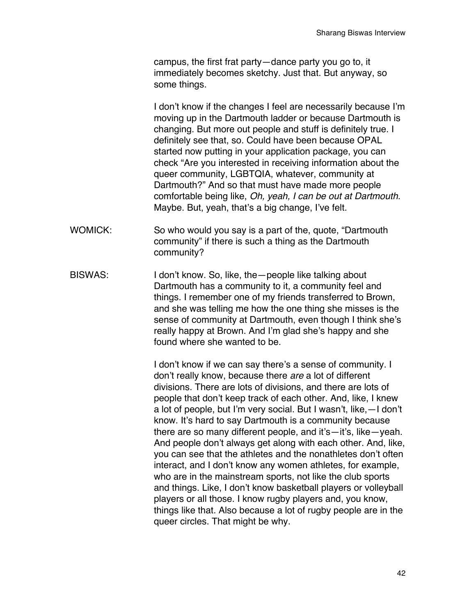campus, the first frat party—dance party you go to, it immediately becomes sketchy. Just that. But anyway, so some things.

I don't know if the changes I feel are necessarily because I'm moving up in the Dartmouth ladder or because Dartmouth is changing. But more out people and stuff is definitely true. I definitely see that, so. Could have been because OPAL started now putting in your application package, you can check "Are you interested in receiving information about the queer community, LGBTQIA, whatever, community at Dartmouth?" And so that must have made more people comfortable being like, *Oh, yeah, I can be out at Dartmouth.* Maybe. But, yeah, that's a big change, I've felt.

- WOMICK: So who would you say is a part of the, quote, "Dartmouth community" if there is such a thing as the Dartmouth community?
- BISWAS: I don't know. So, like, the people like talking about Dartmouth has a community to it, a community feel and things. I remember one of my friends transferred to Brown, and she was telling me how the one thing she misses is the sense of community at Dartmouth, even though I think she's really happy at Brown. And I'm glad she's happy and she found where she wanted to be.

I don't know if we can say there's a sense of community. I don't really know, because there *are* a lot of different divisions. There are lots of divisions, and there are lots of people that don't keep track of each other. And, like, I knew a lot of people, but I'm very social. But I wasn't, like,—I don't know. It's hard to say Dartmouth is a community because there are so many different people, and it's—it's, like—yeah. And people don't always get along with each other. And, like, you can see that the athletes and the nonathletes don't often interact, and I don't know any women athletes, for example, who are in the mainstream sports, not like the club sports and things. Like, I don't know basketball players or volleyball players or all those. I know rugby players and, you know, things like that. Also because a lot of rugby people are in the queer circles. That might be why.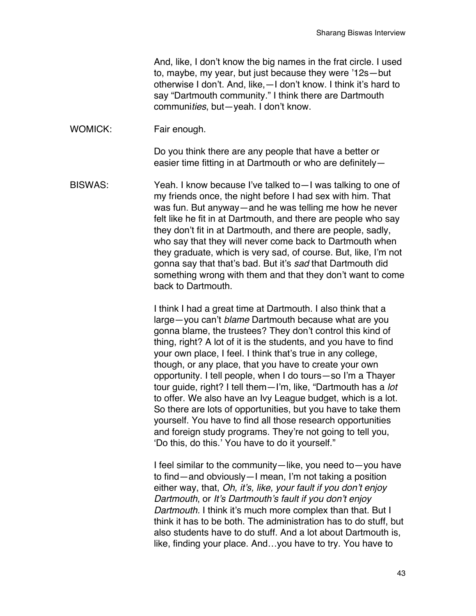And, like, I don't know the big names in the frat circle. I used to, maybe, my year, but just because they were '12s—but otherwise I don't. And, like,—I don't know. I think it's hard to say "Dartmouth community." I think there are Dartmouth communi*ties*, but—yeah. I don't know.

WOMICK: Fair enough.

Do you think there are any people that have a better or easier time fitting in at Dartmouth or who are definitely—

BISWAS: Yeah. I know because I've talked to—I was talking to one of my friends once, the night before I had sex with him. That was fun. But anyway—and he was telling me how he never felt like he fit in at Dartmouth, and there are people who say they don't fit in at Dartmouth, and there are people, sadly, who say that they will never come back to Dartmouth when they graduate, which is very sad, of course. But, like, I'm not gonna say that that's bad. But it's *sad* that Dartmouth did something wrong with them and that they don't want to come back to Dartmouth.

> I think I had a great time at Dartmouth. I also think that a large—you can't *blame* Dartmouth because what are you gonna blame, the trustees? They don't control this kind of thing, right? A lot of it is the students, and you have to find your own place, I feel. I think that's true in any college, though, or any place, that you have to create your own opportunity. I tell people, when I do tours—so I'm a Thayer tour guide, right? I tell them—I'm, like, "Dartmouth has a *lot* to offer. We also have an Ivy League budget, which is a lot. So there are lots of opportunities, but you have to take them yourself. You have to find all those research opportunities and foreign study programs. They're not going to tell you, 'Do this, do this.' You have to do it yourself."

I feel similar to the community—like, you need to—you have to find—and obviously—I mean, I'm not taking a position either way, that, *Oh, it's, like, your fault if you don't enjoy Dartmouth*, or *It's Dartmouth's fault if you don't enjoy Dartmouth.* I think it's much more complex than that. But I think it has to be both. The administration has to do stuff, but also students have to do stuff. And a lot about Dartmouth is, like, finding your place. And…you have to try. You have to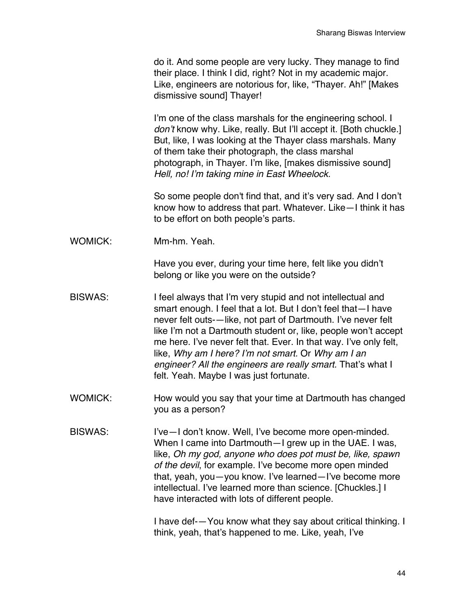do it. And some people are very lucky. They manage to find their place. I think I did, right? Not in my academic major. Like, engineers are notorious for, like, "Thayer. Ah!" [Makes dismissive sound] Thayer!

I'm one of the class marshals for the engineering school. I *don't* know why. Like, really. But I'll accept it. [Both chuckle.] But, like, I was looking at the Thayer class marshals. Many of them take their photograph, the class marshal photograph, in Thayer. I'm like, [makes dismissive sound] *Hell, no! I'm taking mine in East Wheelock.*

So some people don't find that, and it's very sad. And I don't know how to address that part. Whatever. Like—I think it has to be effort on both people's parts.

WOMICK: Mm-hm. Yeah.

Have you ever, during your time here, felt like you didn't belong or like you were on the outside?

- BISWAS: I feel always that I'm very stupid and not intellectual and smart enough. I feel that a lot. But I don't feel that—I have never felt outs-—like, not part of Dartmouth. I've never felt like I'm not a Dartmouth student or, like, people won't accept me here. I've never felt that. Ever. In that way. I've only felt, like, *Why am I here? I'm not smart.* Or *Why am I an engineer? All the engineers are really smart.* That's what I felt. Yeah. Maybe I was just fortunate.
- WOMICK: How would you say that your time at Dartmouth has changed you as a person?
- BISWAS: I've-I don't know. Well, I've become more open-minded. When I came into Dartmouth—I grew up in the UAE. I was, like, *Oh my god, anyone who does pot must be, like, spawn of the devil*, for example. I've become more open minded that, yeah, you—you know. I've learned—I've become more intellectual. I've learned more than science. [Chuckles.] I have interacted with lots of different people.

I have def-—You know what they say about critical thinking. I think, yeah, that's happened to me. Like, yeah, I've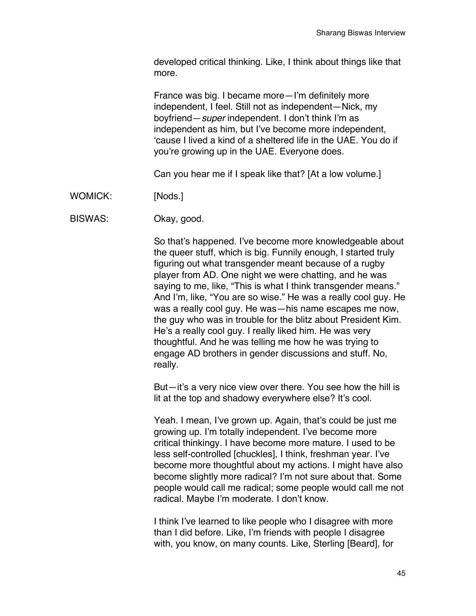developed critical thinking. Like, I think about things like that more.

France was big. I became more—I'm definitely more independent, I feel. Still not as independent—Nick, my boyfriend—*super* independent. I don't think I'm as independent as him, but I've become more independent, 'cause I lived a kind of a sheltered life in the UAE. You do if you're growing up in the UAE. Everyone does.

Can you hear me if I speak like that? [At a low volume.]

WOMICK: [Nods.]

BISWAS: Okay, good.

So that's happened. I've become more knowledgeable about the queer stuff, which is big. Funnily enough, I started truly figuring out what transgender meant because of a rugby player from AD. One night we were chatting, and he was saying to me, like, "This is what I think transgender means." And I'm, like, "You are so wise." He was a really cool guy. He was a really cool guy. He was—his name escapes me now, the guy who was in trouble for the blitz about President Kim. He's a really cool guy. I really liked him. He was very thoughtful. And he was telling me how he was trying to engage AD brothers in gender discussions and stuff. No, really.

But—it's a very nice view over there. You see how the hill is lit at the top and shadowy everywhere else? It's cool.

Yeah. I mean, I've grown up. Again, that's could be just me growing up. I'm totally independent. I've become more critical thinkingy. I have become more mature. I used to be less self-controlled [chuckles], I think, freshman year. I've become more thoughtful about my actions. I might have also become slightly more radical? I'm not sure about that. Some people would call me radical; some people would call me not radical. Maybe I'm moderate. I don't know.

I think I've learned to like people who I disagree with more than I did before. Like, I'm friends with people I disagree with, you know, on many counts. Like, Sterling [Beard], for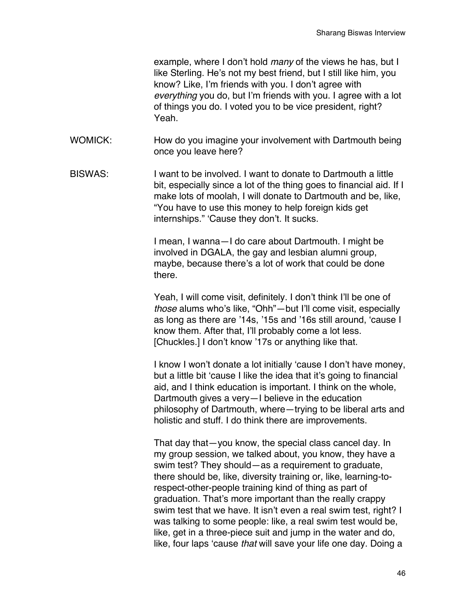example, where I don't hold *many* of the views he has, but I like Sterling. He's not my best friend, but I still like him, you know? Like, I'm friends with you. I don't agree with *everything* you do, but I'm friends with you. I agree with a lot of things you do. I voted you to be vice president, right? Yeah.

- WOMICK: How do you imagine your involvement with Dartmouth being once you leave here?
- BISWAS: I want to be involved. I want to donate to Dartmouth a little bit, especially since a lot of the thing goes to financial aid. If I make lots of moolah, I will donate to Dartmouth and be, like, "You have to use this money to help foreign kids get internships." 'Cause they don't. It sucks.

I mean, I wanna—I do care about Dartmouth. I might be involved in DGALA, the gay and lesbian alumni group, maybe, because there's a lot of work that could be done there.

Yeah, I will come visit, definitely. I don't think I'll be one of *those* alums who's like, "Ohh"—but I'll come visit, especially as long as there are '14s, '15s and '16s still around, 'cause I know them. After that, I'll probably come a lot less. [Chuckles.] I don't know '17s or anything like that.

I know I won't donate a lot initially 'cause I don't have money, but a little bit 'cause I like the idea that it's going to financial aid, and I think education is important. I think on the whole, Dartmouth gives a very—I believe in the education philosophy of Dartmouth, where—trying to be liberal arts and holistic and stuff. I do think there are improvements.

That day that—you know, the special class cancel day. In my group session, we talked about, you know, they have a swim test? They should—as a requirement to graduate, there should be, like, diversity training or, like, learning-torespect-other-people training kind of thing as part of graduation. That's more important than the really crappy swim test that we have. It isn't even a real swim test, right? I was talking to some people: like, a real swim test would be, like, get in a three-piece suit and jump in the water and do, like, four laps 'cause *that* will save your life one day. Doing a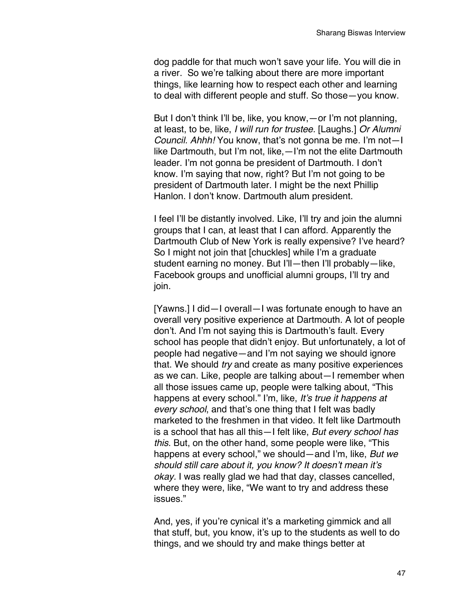dog paddle for that much won't save your life. You will die in a river. So we're talking about there are more important things, like learning how to respect each other and learning to deal with different people and stuff. So those—you know.

But I don't think I'll be, like, you know,—or I'm not planning, at least, to be, like, *I will run for trustee.* [Laughs.] *Or Alumni Council. Ahhh!* You know, that's not gonna be me. I'm not—I like Dartmouth, but I'm not, like,—I'm not the elite Dartmouth leader. I'm not gonna be president of Dartmouth. I don't know. I'm saying that now, right? But I'm not going to be president of Dartmouth later. I might be the next Phillip Hanlon. I don't know. Dartmouth alum president.

I feel I'll be distantly involved. Like, I'll try and join the alumni groups that I can, at least that I can afford. Apparently the Dartmouth Club of New York is really expensive? I've heard? So I might not join that [chuckles] while I'm a graduate student earning no money. But I'll—then I'll probably—like, Facebook groups and unofficial alumni groups, I'll try and join.

[Yawns.] I did—I overall—I was fortunate enough to have an overall very positive experience at Dartmouth. A lot of people don't. And I'm not saying this is Dartmouth's fault. Every school has people that didn't enjoy. But unfortunately, a lot of people had negative—and I'm not saying we should ignore that. We should *try* and create as many positive experiences as we can. Like, people are talking about—I remember when all those issues came up, people were talking about, "This happens at every school." I'm, like, *It's true it happens at every school*, and that's one thing that I felt was badly marketed to the freshmen in that video. It felt like Dartmouth is a school that has all this—I felt like, *But every school has this*. But, on the other hand, some people were like, "This happens at every school," we should—and I'm, like, *But we should still care about it, you know? It doesn't mean it's okay.* I was really glad we had that day, classes cancelled, where they were, like, "We want to try and address these issues."

And, yes, if you're cynical it's a marketing gimmick and all that stuff, but, you know, it's up to the students as well to do things, and we should try and make things better at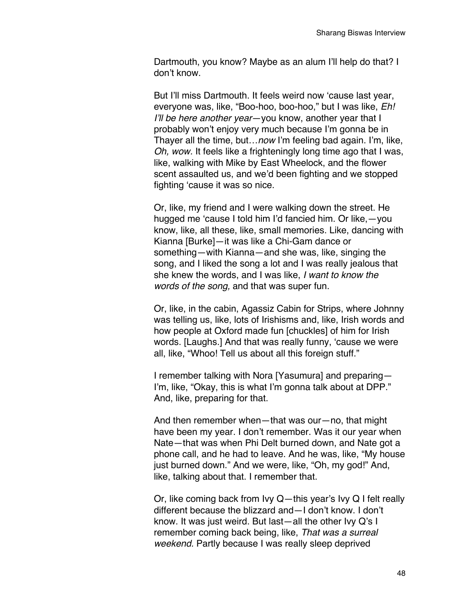Dartmouth, you know? Maybe as an alum I'll help do that? I don't know.

But I'll miss Dartmouth. It feels weird now 'cause last year, everyone was, like, "Boo-hoo, boo-hoo," but I was like, *Eh! I'll be here another year*—you know, another year that I probably won't enjoy very much because I'm gonna be in Thayer all the time, but…*now* I'm feeling bad again. I'm, like, *Oh, wow.* It feels like a frighteningly long time ago that I was, like, walking with Mike by East Wheelock, and the flower scent assaulted us, and we'd been fighting and we stopped fighting 'cause it was so nice.

Or, like, my friend and I were walking down the street. He hugged me 'cause I told him I'd fancied him. Or like,—you know, like, all these, like, small memories. Like, dancing with Kianna [Burke]—it was like a Chi-Gam dance or something—with Kianna—and she was, like, singing the song, and I liked the song a lot and I was really jealous that she knew the words, and I was like, *I want to know the words of the song,* and that was super fun.

Or, like, in the cabin, Agassiz Cabin for Strips, where Johnny was telling us, like, lots of Irishisms and, like, Irish words and how people at Oxford made fun [chuckles] of him for Irish words. [Laughs.] And that was really funny, 'cause we were all, like, "Whoo! Tell us about all this foreign stuff."

I remember talking with Nora [Yasumura] and preparing— I'm, like, "Okay, this is what I'm gonna talk about at DPP." And, like, preparing for that.

And then remember when—that was our—no, that might have been my year. I don't remember. Was it our year when Nate—that was when Phi Delt burned down, and Nate got a phone call, and he had to leave. And he was, like, "My house just burned down." And we were, like, "Oh, my god!" And, like, talking about that. I remember that.

Or, like coming back from Ivy Q—this year's Ivy Q I felt really different because the blizzard and—I don't know. I don't know. It was just weird. But last—all the other Ivy Q's I remember coming back being, like, *That was a surreal weekend.* Partly because I was really sleep deprived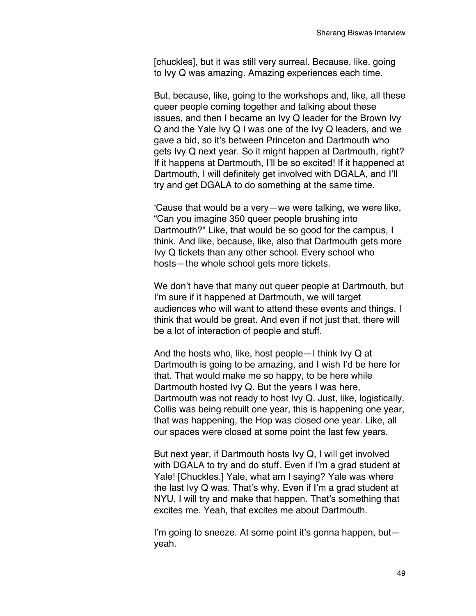[chuckles], but it was still very surreal. Because, like, going to Ivy Q was amazing. Amazing experiences each time.

But, because, like, going to the workshops and, like, all these queer people coming together and talking about these issues, and then I became an Ivy Q leader for the Brown Ivy Q and the Yale Ivy Q I was one of the Ivy Q leaders, and we gave a bid, so it's between Princeton and Dartmouth who gets Ivy Q next year. So it might happen at Dartmouth, right? If it happens at Dartmouth, I'll be so excited! If it happened at Dartmouth, I will definitely get involved with DGALA, and I'll try and get DGALA to do something at the same time.

'Cause that would be a very—we were talking, we were like, "Can you imagine 350 queer people brushing into Dartmouth?" Like, that would be so good for the campus, I think. And like, because, like, also that Dartmouth gets more Ivy Q tickets than any other school. Every school who hosts—the whole school gets more tickets.

We don't have that many out queer people at Dartmouth, but I'm sure if it happened at Dartmouth, we will target audiences who will want to attend these events and things. I think that would be great. And even if not just that, there will be a lot of interaction of people and stuff.

And the hosts who, like, host people—I think Ivy Q at Dartmouth is going to be amazing, and I wish I'd be here for that. That would make me so happy, to be here while Dartmouth hosted Ivy Q. But the years I was here, Dartmouth was not ready to host Ivy Q. Just, like, logistically. Collis was being rebuilt one year, this is happening one year, that was happening, the Hop was closed one year. Like, all our spaces were closed at some point the last few years.

But next year, if Dartmouth hosts Ivy Q, I will get involved with DGALA to try and do stuff. Even if I'm a grad student at Yale! [Chuckles.] Yale, what am I saying? Yale was where the last Ivy Q was. That's why. Even if I'm a grad student at NYU, I will try and make that happen. That's something that excites me. Yeah, that excites me about Dartmouth.

I'm going to sneeze. At some point it's gonna happen, but yeah.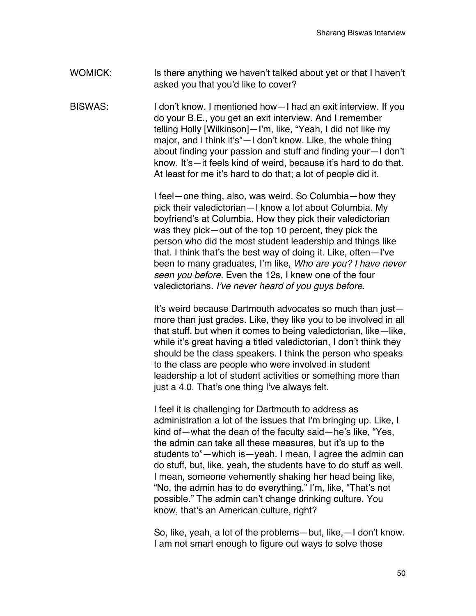WOMICK: Is there anything we haven't talked about yet or that I haven't asked you that you'd like to cover?

BISWAS: I don't know. I mentioned how—I had an exit interview. If you do your B.E., you get an exit interview. And I remember telling Holly [Wilkinson]—I'm, like, "Yeah, I did not like my major, and I think it's"—I don't know. Like, the whole thing about finding your passion and stuff and finding your—I don't know. It's—it feels kind of weird, because it's hard to do that. At least for me it's hard to do that; a lot of people did it.

> I feel—one thing, also, was weird. So Columbia—how they pick their valedictorian—I know a lot about Columbia. My boyfriend's at Columbia. How they pick their valedictorian was they pick—out of the top 10 percent, they pick the person who did the most student leadership and things like that. I think that's the best way of doing it. Like, often—I've been to many graduates, I'm like, *Who are you? I have never seen you before.* Even the 12s, I knew one of the four valedictorians*. I've never heard of you guys before.*

> It's weird because Dartmouth advocates so much than just more than just grades. Like, they like you to be involved in all that stuff, but when it comes to being valedictorian, like—like, while it's great having a titled valedictorian, I don't think they should be the class speakers. I think the person who speaks to the class are people who were involved in student leadership a lot of student activities or something more than just a 4.0. That's one thing I've always felt.

> I feel it is challenging for Dartmouth to address as administration a lot of the issues that I'm bringing up. Like, I kind of—what the dean of the faculty said—he's like, "Yes, the admin can take all these measures, but it's up to the students to"—which is—yeah. I mean, I agree the admin can do stuff, but, like, yeah, the students have to do stuff as well. I mean, someone vehemently shaking her head being like, "No, the admin has to do everything." I'm, like, "That's not possible." The admin can't change drinking culture. You know, that's an American culture, right?

> So, like, yeah, a lot of the problems—but, like,—I don't know. I am not smart enough to figure out ways to solve those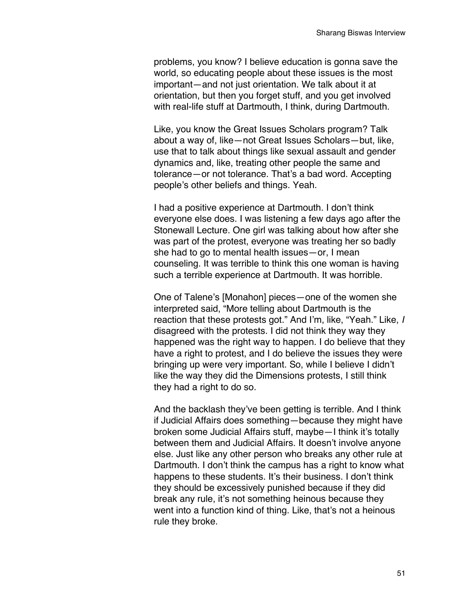problems, you know? I believe education is gonna save the world, so educating people about these issues is the most important—and not just orientation. We talk about it at orientation, but then you forget stuff, and you get involved with real-life stuff at Dartmouth, I think, during Dartmouth.

Like, you know the Great Issues Scholars program? Talk about a way of, like—not Great Issues Scholars—but, like, use that to talk about things like sexual assault and gender dynamics and, like, treating other people the same and tolerance—or not tolerance. That's a bad word. Accepting people's other beliefs and things. Yeah.

I had a positive experience at Dartmouth. I don't think everyone else does. I was listening a few days ago after the Stonewall Lecture. One girl was talking about how after she was part of the protest, everyone was treating her so badly she had to go to mental health issues—or, I mean counseling. It was terrible to think this one woman is having such a terrible experience at Dartmouth. It was horrible.

One of Talene's [Monahon] pieces—one of the women she interpreted said, "More telling about Dartmouth is the reaction that these protests got." And I'm, like, "Yeah." Like, *I* disagreed with the protests. I did not think they way they happened was the right way to happen. I do believe that they have a right to protest, and I do believe the issues they were bringing up were very important. So, while I believe I didn't like the way they did the Dimensions protests, I still think they had a right to do so.

And the backlash they've been getting is terrible. And I think if Judicial Affairs does something—because they might have broken some Judicial Affairs stuff, maybe—I think it's totally between them and Judicial Affairs. It doesn't involve anyone else. Just like any other person who breaks any other rule at Dartmouth. I don't think the campus has a right to know what happens to these students. It's their business. I don't think they should be excessively punished because if they did break any rule, it's not something heinous because they went into a function kind of thing. Like, that's not a heinous rule they broke.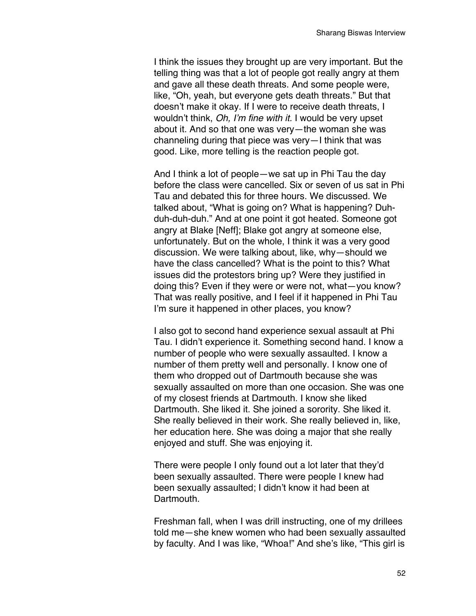I think the issues they brought up are very important. But the telling thing was that a lot of people got really angry at them and gave all these death threats. And some people were, like, "Oh, yeah, but everyone gets death threats." But that doesn't make it okay. If I were to receive death threats, I wouldn't think, *Oh, I'm fine with it.* I would be very upset about it. And so that one was very—the woman she was channeling during that piece was very—I think that was good. Like, more telling is the reaction people got.

And I think a lot of people—we sat up in Phi Tau the day before the class were cancelled. Six or seven of us sat in Phi Tau and debated this for three hours. We discussed. We talked about, "What is going on? What is happening? Duhduh-duh-duh." And at one point it got heated. Someone got angry at Blake [Neff]; Blake got angry at someone else, unfortunately. But on the whole, I think it was a very good discussion. We were talking about, like, why—should we have the class cancelled? What is the point to this? What issues did the protestors bring up? Were they justified in doing this? Even if they were or were not, what—you know? That was really positive, and I feel if it happened in Phi Tau I'm sure it happened in other places, you know?

I also got to second hand experience sexual assault at Phi Tau. I didn't experience it. Something second hand. I know a number of people who were sexually assaulted. I know a number of them pretty well and personally. I know one of them who dropped out of Dartmouth because she was sexually assaulted on more than one occasion. She was one of my closest friends at Dartmouth. I know she liked Dartmouth. She liked it. She joined a sorority. She liked it. She really believed in their work. She really believed in, like, her education here. She was doing a major that she really enjoyed and stuff. She was enjoying it.

There were people I only found out a lot later that they'd been sexually assaulted. There were people I knew had been sexually assaulted; I didn't know it had been at Dartmouth.

Freshman fall, when I was drill instructing, one of my drillees told me—she knew women who had been sexually assaulted by faculty. And I was like, "Whoa!" And she's like, "This girl is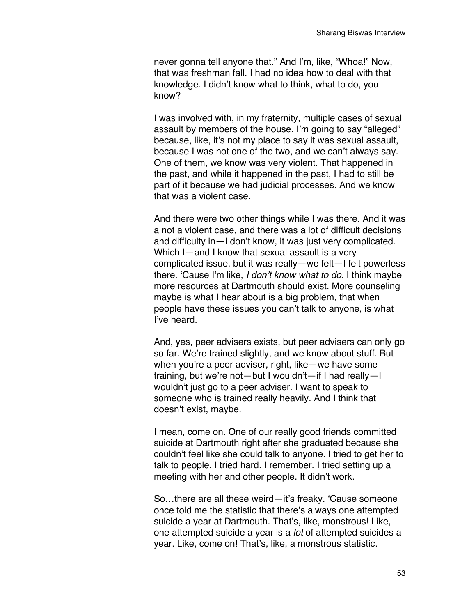never gonna tell anyone that." And I'm, like, "Whoa!" Now, that was freshman fall. I had no idea how to deal with that knowledge. I didn't know what to think, what to do, you know?

I was involved with, in my fraternity, multiple cases of sexual assault by members of the house. I'm going to say "alleged" because, like, it's not my place to say it was sexual assault, because I was not one of the two, and we can't always say. One of them, we know was very violent. That happened in the past, and while it happened in the past, I had to still be part of it because we had judicial processes. And we know that was a violent case.

And there were two other things while I was there. And it was a not a violent case, and there was a lot of difficult decisions and difficulty in—I don't know, it was just very complicated. Which I—and I know that sexual assault is a very complicated issue, but it was really—we felt—I felt powerless there. 'Cause I'm like, *I don't know what to do.* I think maybe more resources at Dartmouth should exist. More counseling maybe is what I hear about is a big problem, that when people have these issues you can't talk to anyone, is what I've heard.

And, yes, peer advisers exists, but peer advisers can only go so far. We're trained slightly, and we know about stuff. But when you're a peer adviser, right, like—we have some training, but we're not—but I wouldn't—if I had really—I wouldn't just go to a peer adviser. I want to speak to someone who is trained really heavily. And I think that doesn't exist, maybe.

I mean, come on. One of our really good friends committed suicide at Dartmouth right after she graduated because she couldn't feel like she could talk to anyone. I tried to get her to talk to people. I tried hard. I remember. I tried setting up a meeting with her and other people. It didn't work.

So…there are all these weird—it's freaky. 'Cause someone once told me the statistic that there's always one attempted suicide a year at Dartmouth. That's, like, monstrous! Like, one attempted suicide a year is a *lot* of attempted suicides a year. Like, come on! That's, like, a monstrous statistic.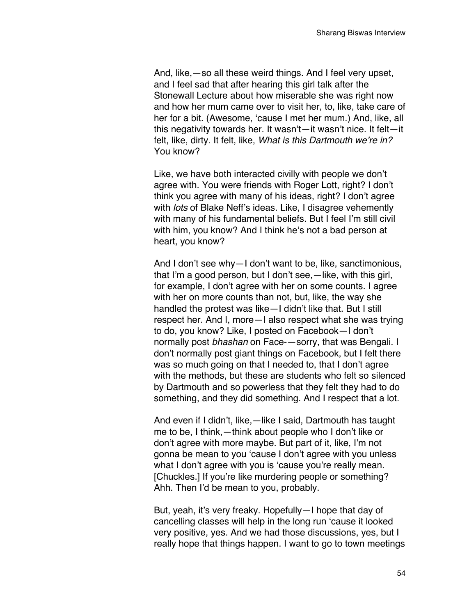And, like,—so all these weird things. And I feel very upset, and I feel sad that after hearing this girl talk after the Stonewall Lecture about how miserable she was right now and how her mum came over to visit her, to, like, take care of her for a bit. (Awesome, 'cause I met her mum.) And, like, all this negativity towards her. It wasn't—it wasn't nice. It felt—it felt, like, dirty. It felt, like, *What is this Dartmouth we're in?* You know?

Like, we have both interacted civilly with people we don't agree with. You were friends with Roger Lott, right? I don't think you agree with many of his ideas, right? I don't agree with *lots* of Blake Neff's ideas. Like, I disagree vehemently with many of his fundamental beliefs. But I feel I'm still civil with him, you know? And I think he's not a bad person at heart, you know?

And I don't see why—I don't want to be, like, sanctimonious, that I'm a good person, but I don't see,—like, with this girl, for example, I don't agree with her on some counts. I agree with her on more counts than not, but, like, the way she handled the protest was like—I didn't like that. But I still respect her. And I, more—I also respect what she was trying to do, you know? Like, I posted on Facebook—I don't normally post *bhashan* on Face-—sorry, that was Bengali. I don't normally post giant things on Facebook, but I felt there was so much going on that I needed to, that I don't agree with the methods, but these are students who felt so silenced by Dartmouth and so powerless that they felt they had to do something, and they did something. And I respect that a lot.

And even if I didn't, like,—like I said, Dartmouth has taught me to be, I think,—think about people who I don't like or don't agree with more maybe. But part of it, like, I'm not gonna be mean to you 'cause I don't agree with you unless what I don't agree with you is 'cause you're really mean. [Chuckles.] If you're like murdering people or something? Ahh. Then I'd be mean to you, probably.

But, yeah, it's very freaky. Hopefully—I hope that day of cancelling classes will help in the long run 'cause it looked very positive, yes. And we had those discussions, yes, but I really hope that things happen. I want to go to town meetings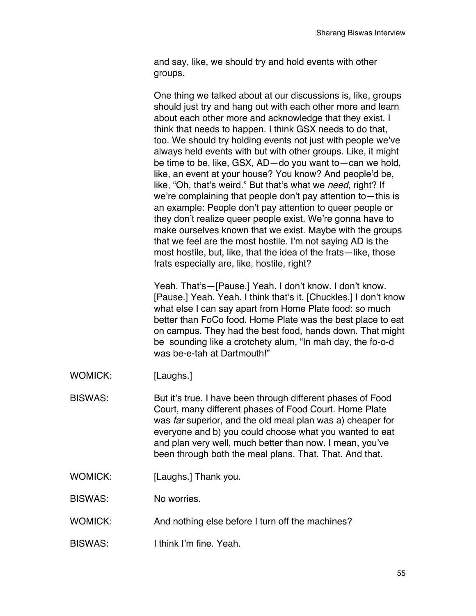and say, like, we should try and hold events with other groups.

One thing we talked about at our discussions is, like, groups should just try and hang out with each other more and learn about each other more and acknowledge that they exist. I think that needs to happen. I think GSX needs to do that, too. We should try holding events not just with people we've always held events with but with other groups. Like, it might be time to be, like, GSX, AD—do you want to—can we hold, like, an event at your house? You know? And people'd be, like, "Oh, that's weird." But that's what we *need*, right? If we're complaining that people don't pay attention to—this is an example: People don't pay attention to queer people or they don't realize queer people exist. We're gonna have to make ourselves known that we exist. Maybe with the groups that we feel are the most hostile. I'm not saying AD is the most hostile, but, like, that the idea of the frats—like, those frats especially are, like, hostile, right?

Yeah. That's—[Pause.] Yeah. I don't know. I don't know. [Pause.] Yeah. Yeah. I think that's it. [Chuckles.] I don't know what else I can say apart from Home Plate food: so much better than FoCo food. Home Plate was the best place to eat on campus. They had the best food, hands down. That might be sounding like a crotchety alum, "In mah day, the fo-o-d was be-e-tah at Dartmouth!"

- WOMICK: [Laughs.]
- BISWAS: But it's true. I have been through different phases of Food Court, many different phases of Food Court. Home Plate was *far* superior, and the old meal plan was a) cheaper for everyone and b) you could choose what you wanted to eat and plan very well, much better than now. I mean, you've been through both the meal plans. That. That. And that.
- WOMICK: [Laughs.] Thank you.
- BISWAS: No worries.
- WOMICK: And nothing else before I turn off the machines?
- BISWAS: I think I'm fine. Yeah.